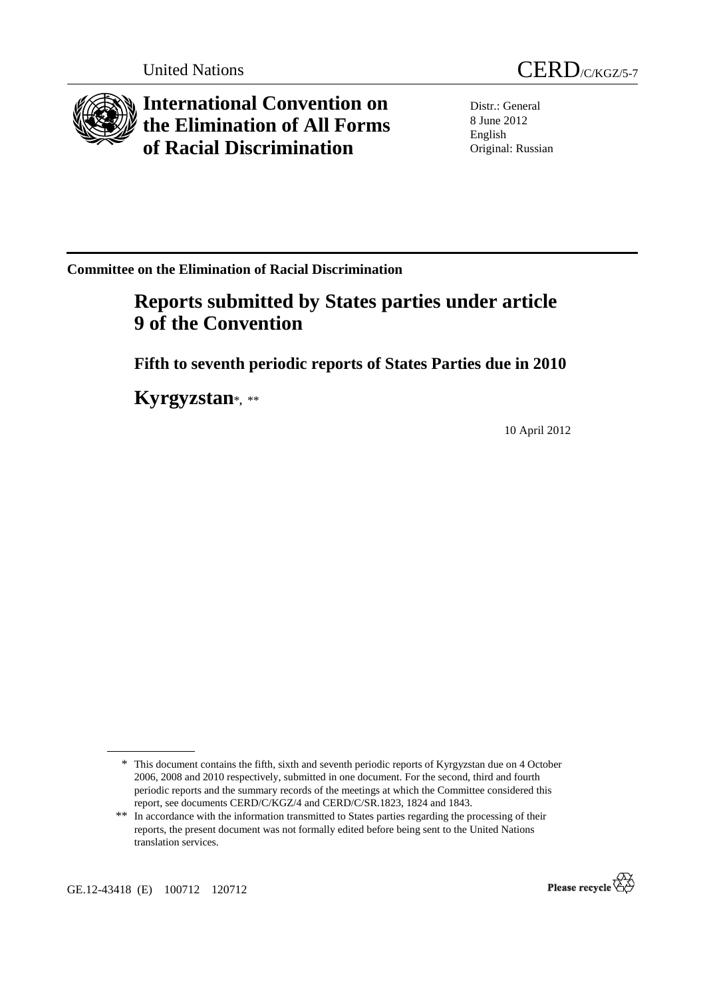

**International Convention on the Elimination of All Forms of Racial Discrimination** 

Distr.: General 8 June 2012 English Original: Russian

**Committee on the Elimination of Racial Discrimination** 

# **Reports submitted by States parties under article 9 of the Convention**

 **Fifth to seventh periodic reports of States Parties due in 2010** 

 **Kyrgyzstan**\***,** \*\*

10 April 2012

GE.12-43418 (E) 100712 120712



<sup>\*</sup> This document contains the fifth, sixth and seventh periodic reports of Kyrgyzstan due on 4 October 2006, 2008 and 2010 respectively, submitted in one document. For the second, third and fourth periodic reports and the summary records of the meetings at which the Committee considered this report, see documents CERD/C/KGZ/4 and CERD/C/SR.1823, 1824 and 1843.

<sup>\*\*</sup> In accordance with the information transmitted to States parties regarding the processing of their reports, the present document was not formally edited before being sent to the United Nations translation services.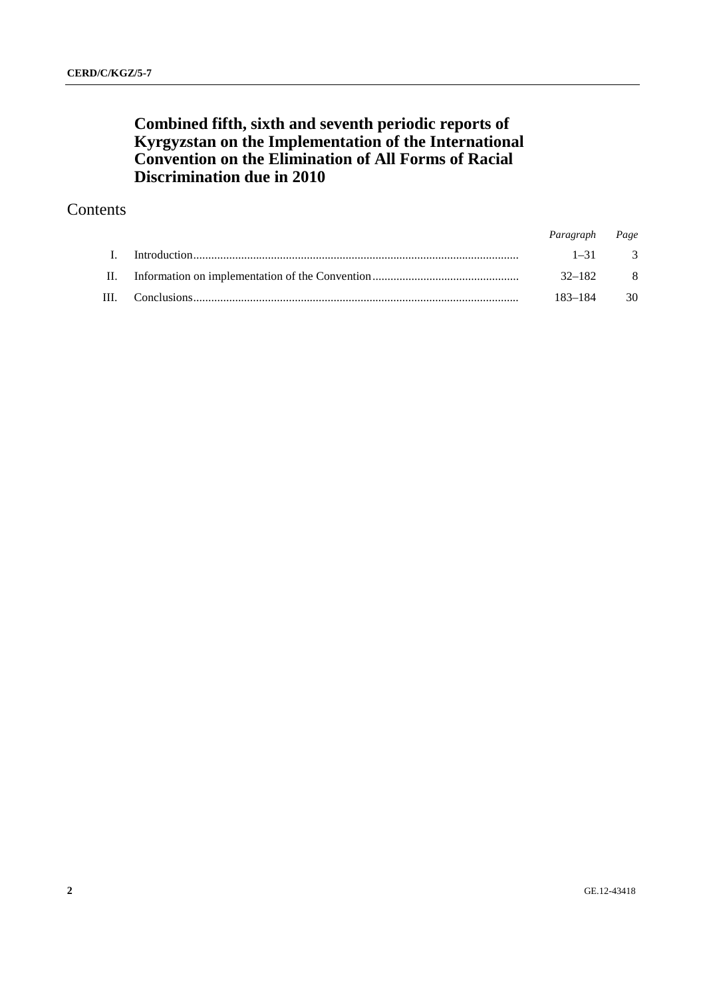## **Combined fifth, sixth and seventh periodic reports of Kyrgyzstan on the Implementation of the International Convention on the Elimination of All Forms of Racial Discrimination due in 2010**

### Contents

|     | Paragraph Page |              |
|-----|----------------|--------------|
|     |                | $1 - 31$ 3   |
| II. | $32 - 182$ 8   |              |
|     | 183–184        | $30^{\circ}$ |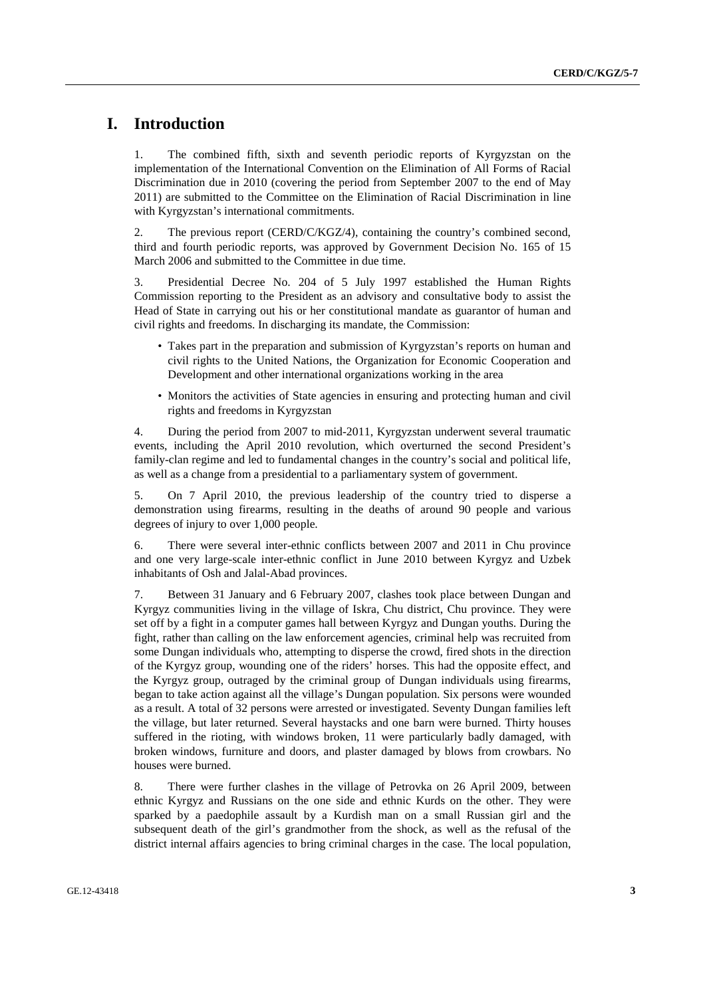### **I. Introduction**

1. The combined fifth, sixth and seventh periodic reports of Kyrgyzstan on the implementation of the International Convention on the Elimination of All Forms of Racial Discrimination due in 2010 (covering the period from September 2007 to the end of May 2011) are submitted to the Committee on the Elimination of Racial Discrimination in line with Kyrgyzstan's international commitments.

2. The previous report (CERD/C/KGZ/4), containing the country's combined second, third and fourth periodic reports, was approved by Government Decision No. 165 of 15 March 2006 and submitted to the Committee in due time.

3. Presidential Decree No. 204 of 5 July 1997 established the Human Rights Commission reporting to the President as an advisory and consultative body to assist the Head of State in carrying out his or her constitutional mandate as guarantor of human and civil rights and freedoms. In discharging its mandate, the Commission:

- Takes part in the preparation and submission of Kyrgyzstan's reports on human and civil rights to the United Nations, the Organization for Economic Cooperation and Development and other international organizations working in the area
- Monitors the activities of State agencies in ensuring and protecting human and civil rights and freedoms in Kyrgyzstan

4. During the period from 2007 to mid-2011, Kyrgyzstan underwent several traumatic events, including the April 2010 revolution, which overturned the second President's family-clan regime and led to fundamental changes in the country's social and political life, as well as a change from a presidential to a parliamentary system of government.

5. On 7 April 2010, the previous leadership of the country tried to disperse a demonstration using firearms, resulting in the deaths of around 90 people and various degrees of injury to over 1,000 people.

6. There were several inter-ethnic conflicts between 2007 and 2011 in Chu province and one very large-scale inter-ethnic conflict in June 2010 between Kyrgyz and Uzbek inhabitants of Osh and Jalal-Abad provinces.

7. Between 31 January and 6 February 2007, clashes took place between Dungan and Kyrgyz communities living in the village of Iskra, Chu district, Chu province. They were set off by a fight in a computer games hall between Kyrgyz and Dungan youths. During the fight, rather than calling on the law enforcement agencies, criminal help was recruited from some Dungan individuals who, attempting to disperse the crowd, fired shots in the direction of the Kyrgyz group, wounding one of the riders' horses. This had the opposite effect, and the Kyrgyz group, outraged by the criminal group of Dungan individuals using firearms, began to take action against all the village's Dungan population. Six persons were wounded as a result. A total of 32 persons were arrested or investigated. Seventy Dungan families left the village, but later returned. Several haystacks and one barn were burned. Thirty houses suffered in the rioting, with windows broken, 11 were particularly badly damaged, with broken windows, furniture and doors, and plaster damaged by blows from crowbars. No houses were burned.

8. There were further clashes in the village of Petrovka on 26 April 2009, between ethnic Kyrgyz and Russians on the one side and ethnic Kurds on the other. They were sparked by a paedophile assault by a Kurdish man on a small Russian girl and the subsequent death of the girl's grandmother from the shock, as well as the refusal of the district internal affairs agencies to bring criminal charges in the case. The local population,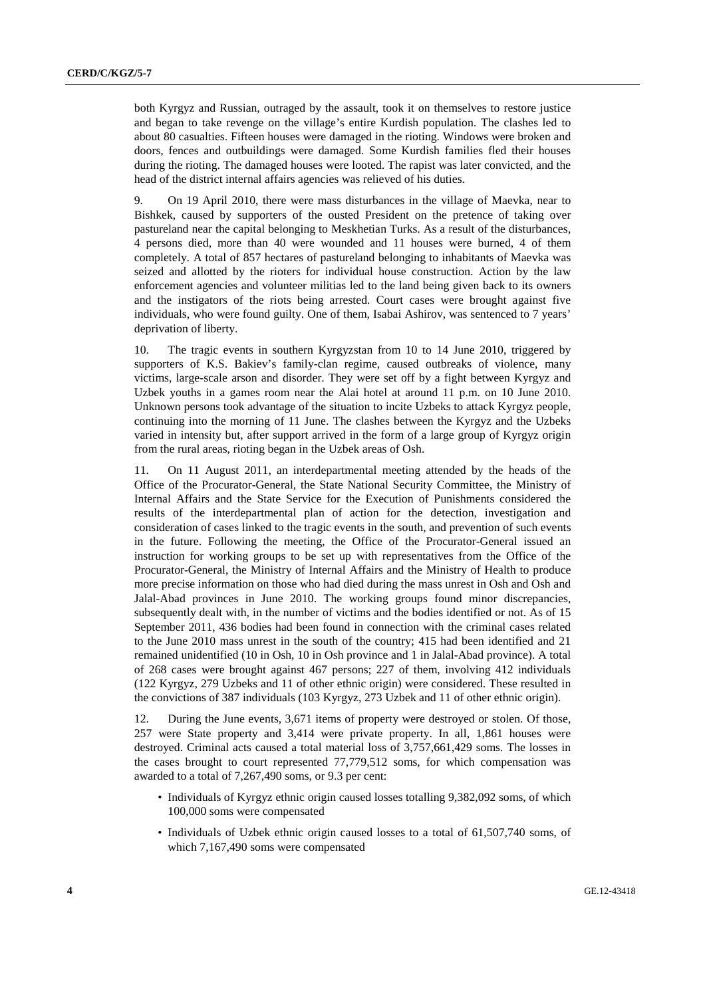both Kyrgyz and Russian, outraged by the assault, took it on themselves to restore justice and began to take revenge on the village's entire Kurdish population. The clashes led to about 80 casualties. Fifteen houses were damaged in the rioting. Windows were broken and doors, fences and outbuildings were damaged. Some Kurdish families fled their houses during the rioting. The damaged houses were looted. The rapist was later convicted, and the head of the district internal affairs agencies was relieved of his duties.

9. On 19 April 2010, there were mass disturbances in the village of Maevka, near to Bishkek, caused by supporters of the ousted President on the pretence of taking over pastureland near the capital belonging to Meskhetian Turks. As a result of the disturbances, 4 persons died, more than 40 were wounded and 11 houses were burned, 4 of them completely. A total of 857 hectares of pastureland belonging to inhabitants of Maevka was seized and allotted by the rioters for individual house construction. Action by the law enforcement agencies and volunteer militias led to the land being given back to its owners and the instigators of the riots being arrested. Court cases were brought against five individuals, who were found guilty. One of them, Isabai Ashirov, was sentenced to 7 years' deprivation of liberty.

10. The tragic events in southern Kyrgyzstan from 10 to 14 June 2010, triggered by supporters of K.S. Bakiev's family-clan regime, caused outbreaks of violence, many victims, large-scale arson and disorder. They were set off by a fight between Kyrgyz and Uzbek youths in a games room near the Alai hotel at around 11 p.m. on 10 June 2010. Unknown persons took advantage of the situation to incite Uzbeks to attack Kyrgyz people, continuing into the morning of 11 June. The clashes between the Kyrgyz and the Uzbeks varied in intensity but, after support arrived in the form of a large group of Kyrgyz origin from the rural areas, rioting began in the Uzbek areas of Osh.

11. On 11 August 2011, an interdepartmental meeting attended by the heads of the Office of the Procurator-General, the State National Security Committee, the Ministry of Internal Affairs and the State Service for the Execution of Punishments considered the results of the interdepartmental plan of action for the detection, investigation and consideration of cases linked to the tragic events in the south, and prevention of such events in the future. Following the meeting, the Office of the Procurator-General issued an instruction for working groups to be set up with representatives from the Office of the Procurator-General, the Ministry of Internal Affairs and the Ministry of Health to produce more precise information on those who had died during the mass unrest in Osh and Osh and Jalal-Abad provinces in June 2010. The working groups found minor discrepancies, subsequently dealt with, in the number of victims and the bodies identified or not. As of 15 September 2011, 436 bodies had been found in connection with the criminal cases related to the June 2010 mass unrest in the south of the country; 415 had been identified and 21 remained unidentified (10 in Osh, 10 in Osh province and 1 in Jalal-Abad province). A total of 268 cases were brought against 467 persons; 227 of them, involving 412 individuals (122 Kyrgyz, 279 Uzbeks and 11 of other ethnic origin) were considered. These resulted in the convictions of 387 individuals (103 Kyrgyz, 273 Uzbek and 11 of other ethnic origin).

12. During the June events, 3,671 items of property were destroyed or stolen. Of those, 257 were State property and 3,414 were private property. In all, 1,861 houses were destroyed. Criminal acts caused a total material loss of 3,757,661,429 soms. The losses in the cases brought to court represented 77,779,512 soms, for which compensation was awarded to a total of 7,267,490 soms, or 9.3 per cent:

- Individuals of Kyrgyz ethnic origin caused losses totalling 9,382,092 soms, of which 100,000 soms were compensated
- Individuals of Uzbek ethnic origin caused losses to a total of 61,507,740 soms, of which 7,167,490 soms were compensated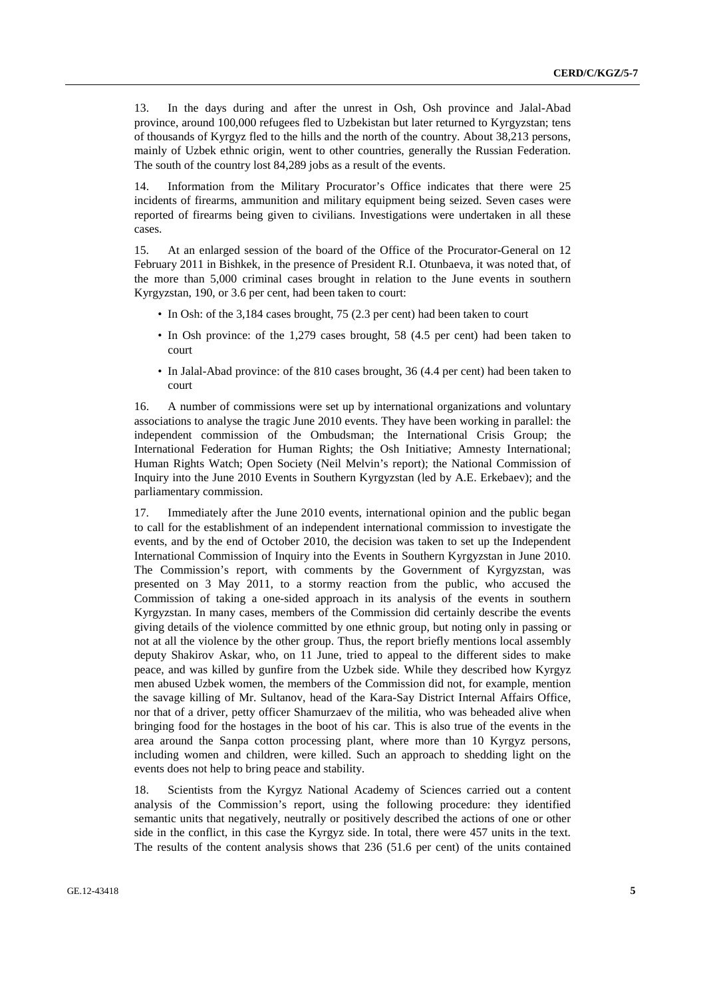13. In the days during and after the unrest in Osh, Osh province and Jalal-Abad province, around 100,000 refugees fled to Uzbekistan but later returned to Kyrgyzstan; tens of thousands of Kyrgyz fled to the hills and the north of the country. About 38,213 persons, mainly of Uzbek ethnic origin, went to other countries, generally the Russian Federation. The south of the country lost 84,289 jobs as a result of the events.

14. Information from the Military Procurator's Office indicates that there were 25 incidents of firearms, ammunition and military equipment being seized. Seven cases were reported of firearms being given to civilians. Investigations were undertaken in all these cases.

15. At an enlarged session of the board of the Office of the Procurator-General on 12 February 2011 in Bishkek, in the presence of President R.I. Otunbaeva, it was noted that, of the more than 5,000 criminal cases brought in relation to the June events in southern Kyrgyzstan, 190, or 3.6 per cent, had been taken to court:

- In Osh: of the 3,184 cases brought, 75 (2.3 per cent) had been taken to court
- In Osh province: of the 1,279 cases brought, 58 (4.5 per cent) had been taken to court
- In Jalal-Abad province: of the 810 cases brought, 36 (4.4 per cent) had been taken to court

16. A number of commissions were set up by international organizations and voluntary associations to analyse the tragic June 2010 events. They have been working in parallel: the independent commission of the Ombudsman; the International Crisis Group; the International Federation for Human Rights; the Osh Initiative; Amnesty International; Human Rights Watch; Open Society (Neil Melvin's report); the National Commission of Inquiry into the June 2010 Events in Southern Kyrgyzstan (led by A.E. Erkebaev); and the parliamentary commission.

17. Immediately after the June 2010 events, international opinion and the public began to call for the establishment of an independent international commission to investigate the events, and by the end of October 2010, the decision was taken to set up the Independent International Commission of Inquiry into the Events in Southern Kyrgyzstan in June 2010. The Commission's report, with comments by the Government of Kyrgyzstan, was presented on 3 May 2011, to a stormy reaction from the public, who accused the Commission of taking a one-sided approach in its analysis of the events in southern Kyrgyzstan. In many cases, members of the Commission did certainly describe the events giving details of the violence committed by one ethnic group, but noting only in passing or not at all the violence by the other group. Thus, the report briefly mentions local assembly deputy Shakirov Askar, who, on 11 June, tried to appeal to the different sides to make peace, and was killed by gunfire from the Uzbek side. While they described how Kyrgyz men abused Uzbek women, the members of the Commission did not, for example, mention the savage killing of Mr. Sultanov, head of the Kara-Say District Internal Affairs Office, nor that of a driver, petty officer Shamurzaev of the militia, who was beheaded alive when bringing food for the hostages in the boot of his car. This is also true of the events in the area around the Sanpa cotton processing plant, where more than 10 Kyrgyz persons, including women and children, were killed. Such an approach to shedding light on the events does not help to bring peace and stability.

18. Scientists from the Kyrgyz National Academy of Sciences carried out a content analysis of the Commission's report, using the following procedure: they identified semantic units that negatively, neutrally or positively described the actions of one or other side in the conflict, in this case the Kyrgyz side. In total, there were 457 units in the text. The results of the content analysis shows that 236 (51.6 per cent) of the units contained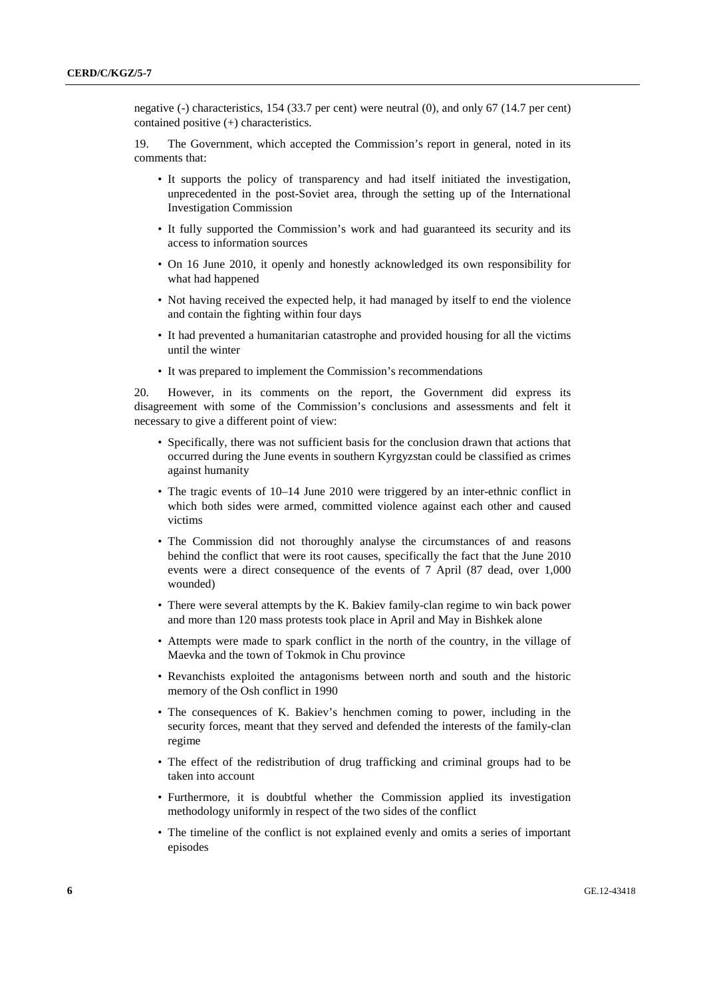negative (-) characteristics, 154 (33.7 per cent) were neutral (0), and only 67 (14.7 per cent) contained positive (+) characteristics.

19. The Government, which accepted the Commission's report in general, noted in its comments that:

- It supports the policy of transparency and had itself initiated the investigation, unprecedented in the post-Soviet area, through the setting up of the International Investigation Commission
- It fully supported the Commission's work and had guaranteed its security and its access to information sources
- On 16 June 2010, it openly and honestly acknowledged its own responsibility for what had happened
- Not having received the expected help, it had managed by itself to end the violence and contain the fighting within four days
- It had prevented a humanitarian catastrophe and provided housing for all the victims until the winter
- It was prepared to implement the Commission's recommendations

20. However, in its comments on the report, the Government did express its disagreement with some of the Commission's conclusions and assessments and felt it necessary to give a different point of view:

- Specifically, there was not sufficient basis for the conclusion drawn that actions that occurred during the June events in southern Kyrgyzstan could be classified as crimes against humanity
- The tragic events of 10–14 June 2010 were triggered by an inter-ethnic conflict in which both sides were armed, committed violence against each other and caused victims
- The Commission did not thoroughly analyse the circumstances of and reasons behind the conflict that were its root causes, specifically the fact that the June 2010 events were a direct consequence of the events of 7 April (87 dead, over 1,000 wounded)
- There were several attempts by the K. Bakiev family-clan regime to win back power and more than 120 mass protests took place in April and May in Bishkek alone
- Attempts were made to spark conflict in the north of the country, in the village of Maevka and the town of Tokmok in Chu province
- Revanchists exploited the antagonisms between north and south and the historic memory of the Osh conflict in 1990
- The consequences of K. Bakiev's henchmen coming to power, including in the security forces, meant that they served and defended the interests of the family-clan regime
- The effect of the redistribution of drug trafficking and criminal groups had to be taken into account
- Furthermore, it is doubtful whether the Commission applied its investigation methodology uniformly in respect of the two sides of the conflict
- The timeline of the conflict is not explained evenly and omits a series of important episodes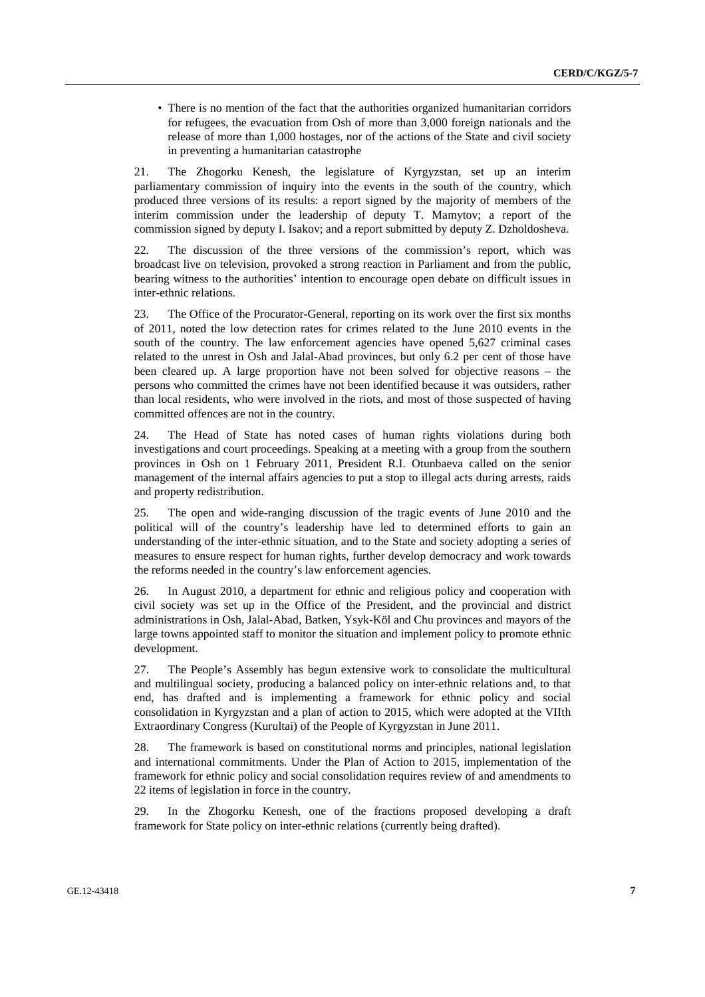• There is no mention of the fact that the authorities organized humanitarian corridors for refugees, the evacuation from Osh of more than 3,000 foreign nationals and the release of more than 1,000 hostages, nor of the actions of the State and civil society in preventing a humanitarian catastrophe

21. The Zhogorku Kenesh, the legislature of Kyrgyzstan, set up an interim parliamentary commission of inquiry into the events in the south of the country, which produced three versions of its results: a report signed by the majority of members of the interim commission under the leadership of deputy T. Mamytov; a report of the commission signed by deputy I. Isakov; and a report submitted by deputy Z. Dzholdosheva.

22. The discussion of the three versions of the commission's report, which was broadcast live on television, provoked a strong reaction in Parliament and from the public, bearing witness to the authorities' intention to encourage open debate on difficult issues in inter-ethnic relations.

23. The Office of the Procurator-General, reporting on its work over the first six months of 2011, noted the low detection rates for crimes related to the June 2010 events in the south of the country. The law enforcement agencies have opened 5,627 criminal cases related to the unrest in Osh and Jalal-Abad provinces, but only 6.2 per cent of those have been cleared up. A large proportion have not been solved for objective reasons – the persons who committed the crimes have not been identified because it was outsiders, rather than local residents, who were involved in the riots, and most of those suspected of having committed offences are not in the country.

24. The Head of State has noted cases of human rights violations during both investigations and court proceedings. Speaking at a meeting with a group from the southern provinces in Osh on 1 February 2011, President R.I. Otunbaeva called on the senior management of the internal affairs agencies to put a stop to illegal acts during arrests, raids and property redistribution.

25. The open and wide-ranging discussion of the tragic events of June 2010 and the political will of the country's leadership have led to determined efforts to gain an understanding of the inter-ethnic situation, and to the State and society adopting a series of measures to ensure respect for human rights, further develop democracy and work towards the reforms needed in the country's law enforcement agencies.

26. In August 2010, a department for ethnic and religious policy and cooperation with civil society was set up in the Office of the President, and the provincial and district administrations in Osh, Jalal-Abad, Batken, Ysyk-Köl and Chu provinces and mayors of the large towns appointed staff to monitor the situation and implement policy to promote ethnic development.

27. The People's Assembly has begun extensive work to consolidate the multicultural and multilingual society, producing a balanced policy on inter-ethnic relations and, to that end, has drafted and is implementing a framework for ethnic policy and social consolidation in Kyrgyzstan and a plan of action to 2015, which were adopted at the VIIth Extraordinary Congress (Kurultai) of the People of Kyrgyzstan in June 2011.

28. The framework is based on constitutional norms and principles, national legislation and international commitments. Under the Plan of Action to 2015, implementation of the framework for ethnic policy and social consolidation requires review of and amendments to 22 items of legislation in force in the country.

29. In the Zhogorku Kenesh, one of the fractions proposed developing a draft framework for State policy on inter-ethnic relations (currently being drafted).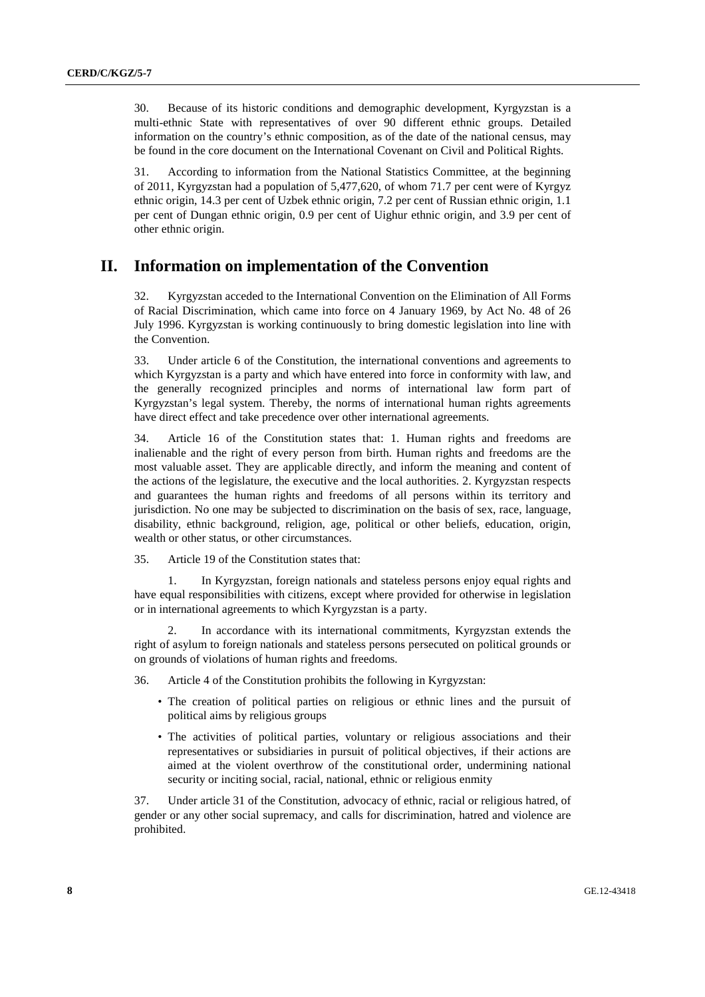30. Because of its historic conditions and demographic development, Kyrgyzstan is a multi-ethnic State with representatives of over 90 different ethnic groups. Detailed information on the country's ethnic composition, as of the date of the national census, may be found in the core document on the International Covenant on Civil and Political Rights.

31. According to information from the National Statistics Committee, at the beginning of 2011, Kyrgyzstan had a population of 5,477,620, of whom 71.7 per cent were of Kyrgyz ethnic origin, 14.3 per cent of Uzbek ethnic origin, 7.2 per cent of Russian ethnic origin, 1.1 per cent of Dungan ethnic origin, 0.9 per cent of Uighur ethnic origin, and 3.9 per cent of other ethnic origin.

#### **II. Information on implementation of the Convention**

32. Kyrgyzstan acceded to the International Convention on the Elimination of All Forms of Racial Discrimination, which came into force on 4 January 1969, by Act No. 48 of 26 July 1996. Kyrgyzstan is working continuously to bring domestic legislation into line with the Convention.

33. Under article 6 of the Constitution, the international conventions and agreements to which Kyrgyzstan is a party and which have entered into force in conformity with law, and the generally recognized principles and norms of international law form part of Kyrgyzstan's legal system. Thereby, the norms of international human rights agreements have direct effect and take precedence over other international agreements.

34. Article 16 of the Constitution states that: 1. Human rights and freedoms are inalienable and the right of every person from birth. Human rights and freedoms are the most valuable asset. They are applicable directly, and inform the meaning and content of the actions of the legislature, the executive and the local authorities. 2. Kyrgyzstan respects and guarantees the human rights and freedoms of all persons within its territory and jurisdiction. No one may be subjected to discrimination on the basis of sex, race, language, disability, ethnic background, religion, age, political or other beliefs, education, origin, wealth or other status, or other circumstances.

35. Article 19 of the Constitution states that:

 1. In Kyrgyzstan, foreign nationals and stateless persons enjoy equal rights and have equal responsibilities with citizens, except where provided for otherwise in legislation or in international agreements to which Kyrgyzstan is a party.

In accordance with its international commitments, Kyrgyzstan extends the right of asylum to foreign nationals and stateless persons persecuted on political grounds or on grounds of violations of human rights and freedoms.

36. Article 4 of the Constitution prohibits the following in Kyrgyzstan:

- The creation of political parties on religious or ethnic lines and the pursuit of political aims by religious groups
- The activities of political parties, voluntary or religious associations and their representatives or subsidiaries in pursuit of political objectives, if their actions are aimed at the violent overthrow of the constitutional order, undermining national security or inciting social, racial, national, ethnic or religious enmity

37. Under article 31 of the Constitution, advocacy of ethnic, racial or religious hatred, of gender or any other social supremacy, and calls for discrimination, hatred and violence are prohibited.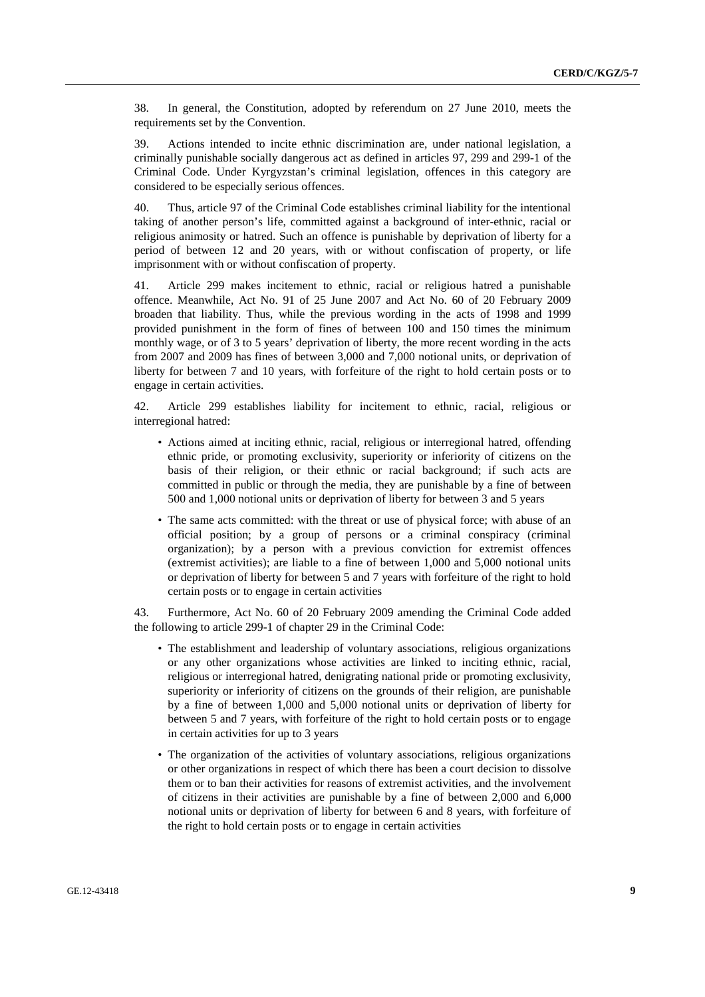38. In general, the Constitution, adopted by referendum on 27 June 2010, meets the requirements set by the Convention.

39. Actions intended to incite ethnic discrimination are, under national legislation, a criminally punishable socially dangerous act as defined in articles 97, 299 and 299-1 of the Criminal Code. Under Kyrgyzstan's criminal legislation, offences in this category are considered to be especially serious offences.

40. Thus, article 97 of the Criminal Code establishes criminal liability for the intentional taking of another person's life, committed against a background of inter-ethnic, racial or religious animosity or hatred. Such an offence is punishable by deprivation of liberty for a period of between 12 and 20 years, with or without confiscation of property, or life imprisonment with or without confiscation of property.

41. Article 299 makes incitement to ethnic, racial or religious hatred a punishable offence. Meanwhile, Act No. 91 of 25 June 2007 and Act No. 60 of 20 February 2009 broaden that liability. Thus, while the previous wording in the acts of 1998 and 1999 provided punishment in the form of fines of between 100 and 150 times the minimum monthly wage, or of 3 to 5 years' deprivation of liberty, the more recent wording in the acts from 2007 and 2009 has fines of between 3,000 and 7,000 notional units, or deprivation of liberty for between 7 and 10 years, with forfeiture of the right to hold certain posts or to engage in certain activities.

42. Article 299 establishes liability for incitement to ethnic, racial, religious or interregional hatred:

- Actions aimed at inciting ethnic, racial, religious or interregional hatred, offending ethnic pride, or promoting exclusivity, superiority or inferiority of citizens on the basis of their religion, or their ethnic or racial background; if such acts are committed in public or through the media, they are punishable by a fine of between 500 and 1,000 notional units or deprivation of liberty for between 3 and 5 years
- The same acts committed: with the threat or use of physical force; with abuse of an official position; by a group of persons or a criminal conspiracy (criminal organization); by a person with a previous conviction for extremist offences (extremist activities); are liable to a fine of between 1,000 and 5,000 notional units or deprivation of liberty for between 5 and 7 years with forfeiture of the right to hold certain posts or to engage in certain activities

43. Furthermore, Act No. 60 of 20 February 2009 amending the Criminal Code added the following to article 299-1 of chapter 29 in the Criminal Code:

- The establishment and leadership of voluntary associations, religious organizations or any other organizations whose activities are linked to inciting ethnic, racial, religious or interregional hatred, denigrating national pride or promoting exclusivity, superiority or inferiority of citizens on the grounds of their religion, are punishable by a fine of between 1,000 and 5,000 notional units or deprivation of liberty for between 5 and 7 years, with forfeiture of the right to hold certain posts or to engage in certain activities for up to 3 years
- The organization of the activities of voluntary associations, religious organizations or other organizations in respect of which there has been a court decision to dissolve them or to ban their activities for reasons of extremist activities, and the involvement of citizens in their activities are punishable by a fine of between 2,000 and 6,000 notional units or deprivation of liberty for between 6 and 8 years, with forfeiture of the right to hold certain posts or to engage in certain activities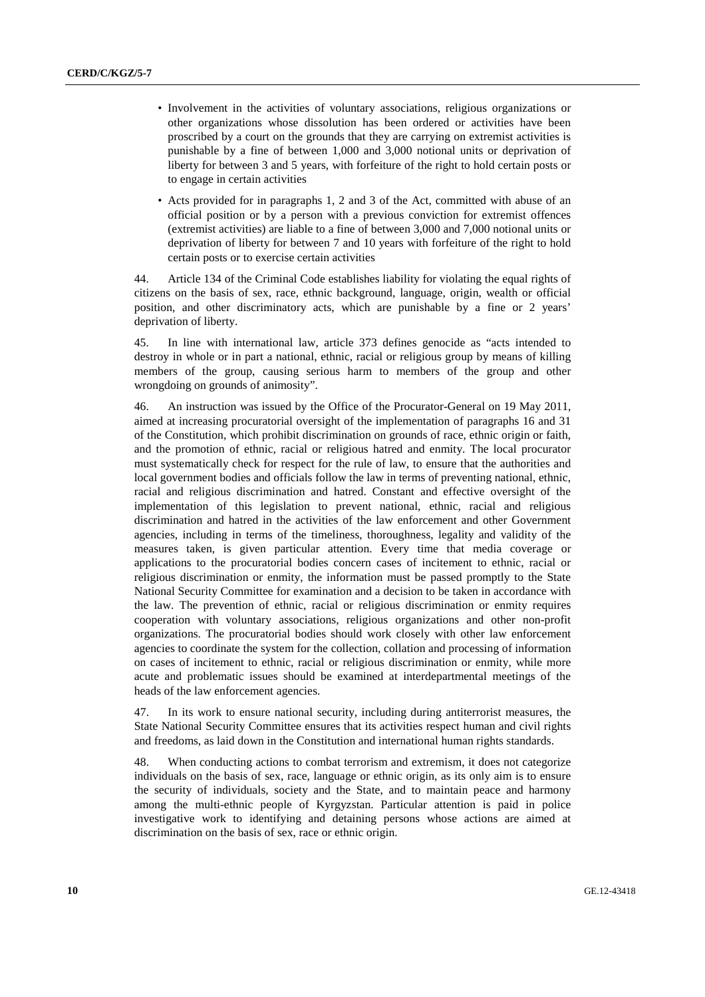- Involvement in the activities of voluntary associations, religious organizations or other organizations whose dissolution has been ordered or activities have been proscribed by a court on the grounds that they are carrying on extremist activities is punishable by a fine of between 1,000 and 3,000 notional units or deprivation of liberty for between 3 and 5 years, with forfeiture of the right to hold certain posts or to engage in certain activities
- Acts provided for in paragraphs 1, 2 and 3 of the Act, committed with abuse of an official position or by a person with a previous conviction for extremist offences (extremist activities) are liable to a fine of between 3,000 and 7,000 notional units or deprivation of liberty for between 7 and 10 years with forfeiture of the right to hold certain posts or to exercise certain activities

44. Article 134 of the Criminal Code establishes liability for violating the equal rights of citizens on the basis of sex, race, ethnic background, language, origin, wealth or official position, and other discriminatory acts, which are punishable by a fine or 2 years' deprivation of liberty.

45. In line with international law, article 373 defines genocide as "acts intended to destroy in whole or in part a national, ethnic, racial or religious group by means of killing members of the group, causing serious harm to members of the group and other wrongdoing on grounds of animosity".

46. An instruction was issued by the Office of the Procurator-General on 19 May 2011, aimed at increasing procuratorial oversight of the implementation of paragraphs 16 and 31 of the Constitution, which prohibit discrimination on grounds of race, ethnic origin or faith, and the promotion of ethnic, racial or religious hatred and enmity. The local procurator must systematically check for respect for the rule of law, to ensure that the authorities and local government bodies and officials follow the law in terms of preventing national, ethnic, racial and religious discrimination and hatred. Constant and effective oversight of the implementation of this legislation to prevent national, ethnic, racial and religious discrimination and hatred in the activities of the law enforcement and other Government agencies, including in terms of the timeliness, thoroughness, legality and validity of the measures taken, is given particular attention. Every time that media coverage or applications to the procuratorial bodies concern cases of incitement to ethnic, racial or religious discrimination or enmity, the information must be passed promptly to the State National Security Committee for examination and a decision to be taken in accordance with the law. The prevention of ethnic, racial or religious discrimination or enmity requires cooperation with voluntary associations, religious organizations and other non-profit organizations. The procuratorial bodies should work closely with other law enforcement agencies to coordinate the system for the collection, collation and processing of information on cases of incitement to ethnic, racial or religious discrimination or enmity, while more acute and problematic issues should be examined at interdepartmental meetings of the heads of the law enforcement agencies.

47. In its work to ensure national security, including during antiterrorist measures, the State National Security Committee ensures that its activities respect human and civil rights and freedoms, as laid down in the Constitution and international human rights standards.

48. When conducting actions to combat terrorism and extremism, it does not categorize individuals on the basis of sex, race, language or ethnic origin, as its only aim is to ensure the security of individuals, society and the State, and to maintain peace and harmony among the multi-ethnic people of Kyrgyzstan. Particular attention is paid in police investigative work to identifying and detaining persons whose actions are aimed at discrimination on the basis of sex, race or ethnic origin.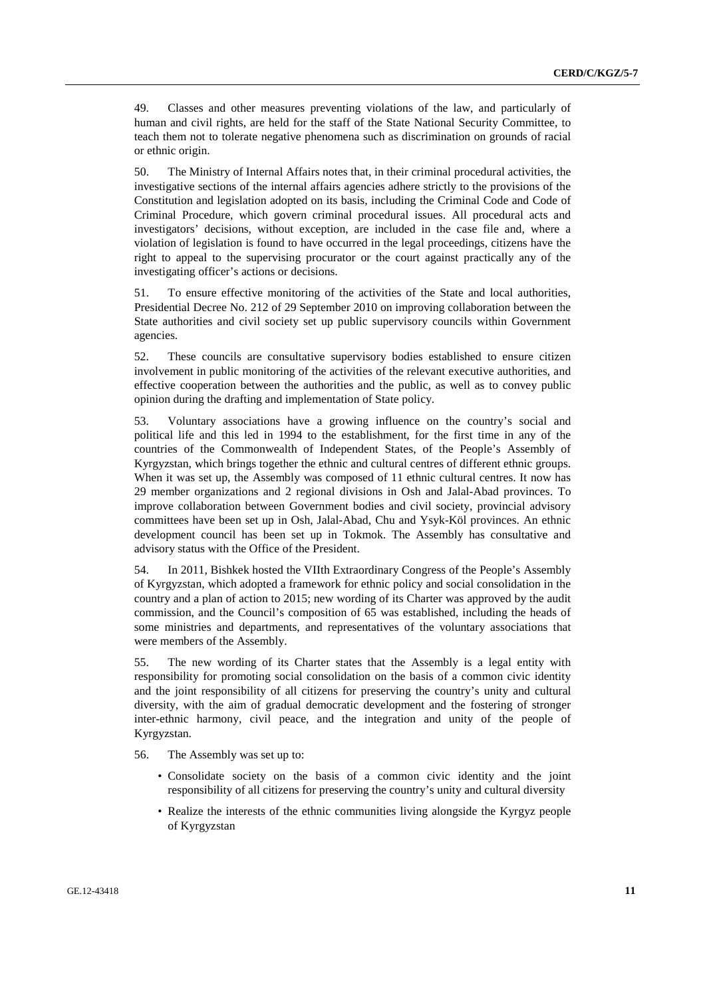49. Classes and other measures preventing violations of the law, and particularly of human and civil rights, are held for the staff of the State National Security Committee, to teach them not to tolerate negative phenomena such as discrimination on grounds of racial or ethnic origin.

50. The Ministry of Internal Affairs notes that, in their criminal procedural activities, the investigative sections of the internal affairs agencies adhere strictly to the provisions of the Constitution and legislation adopted on its basis, including the Criminal Code and Code of Criminal Procedure, which govern criminal procedural issues. All procedural acts and investigators' decisions, without exception, are included in the case file and, where a violation of legislation is found to have occurred in the legal proceedings, citizens have the right to appeal to the supervising procurator or the court against practically any of the investigating officer's actions or decisions.

51. To ensure effective monitoring of the activities of the State and local authorities, Presidential Decree No. 212 of 29 September 2010 on improving collaboration between the State authorities and civil society set up public supervisory councils within Government agencies.

52. These councils are consultative supervisory bodies established to ensure citizen involvement in public monitoring of the activities of the relevant executive authorities, and effective cooperation between the authorities and the public, as well as to convey public opinion during the drafting and implementation of State policy.

53. Voluntary associations have a growing influence on the country's social and political life and this led in 1994 to the establishment, for the first time in any of the countries of the Commonwealth of Independent States, of the People's Assembly of Kyrgyzstan, which brings together the ethnic and cultural centres of different ethnic groups. When it was set up, the Assembly was composed of 11 ethnic cultural centres. It now has 29 member organizations and 2 regional divisions in Osh and Jalal-Abad provinces. To improve collaboration between Government bodies and civil society, provincial advisory committees have been set up in Osh, Jalal-Abad, Chu and Ysyk-Köl provinces. An ethnic development council has been set up in Tokmok. The Assembly has consultative and advisory status with the Office of the President.

54. In 2011, Bishkek hosted the VIIth Extraordinary Congress of the People's Assembly of Kyrgyzstan, which adopted a framework for ethnic policy and social consolidation in the country and a plan of action to 2015; new wording of its Charter was approved by the audit commission, and the Council's composition of 65 was established, including the heads of some ministries and departments, and representatives of the voluntary associations that were members of the Assembly.

55. The new wording of its Charter states that the Assembly is a legal entity with responsibility for promoting social consolidation on the basis of a common civic identity and the joint responsibility of all citizens for preserving the country's unity and cultural diversity, with the aim of gradual democratic development and the fostering of stronger inter-ethnic harmony, civil peace, and the integration and unity of the people of Kyrgyzstan.

56. The Assembly was set up to:

- Consolidate society on the basis of a common civic identity and the joint responsibility of all citizens for preserving the country's unity and cultural diversity
- Realize the interests of the ethnic communities living alongside the Kyrgyz people of Kyrgyzstan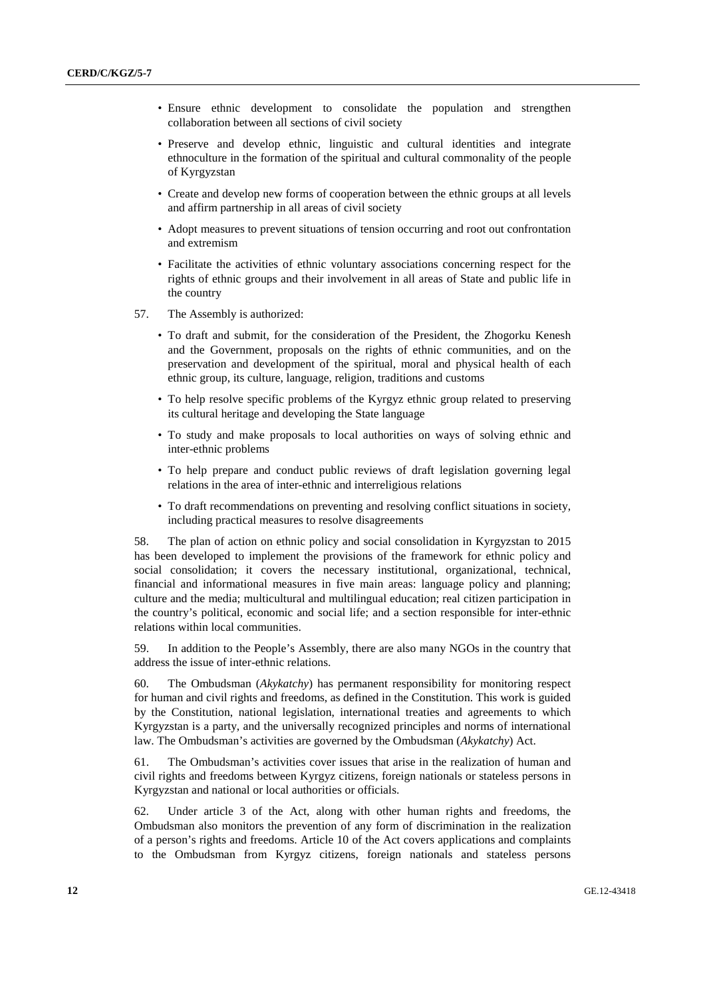- Ensure ethnic development to consolidate the population and strengthen collaboration between all sections of civil society
- Preserve and develop ethnic, linguistic and cultural identities and integrate ethnoculture in the formation of the spiritual and cultural commonality of the people of Kyrgyzstan
- Create and develop new forms of cooperation between the ethnic groups at all levels and affirm partnership in all areas of civil society
- Adopt measures to prevent situations of tension occurring and root out confrontation and extremism
- Facilitate the activities of ethnic voluntary associations concerning respect for the rights of ethnic groups and their involvement in all areas of State and public life in the country
- 57. The Assembly is authorized:
	- To draft and submit, for the consideration of the President, the Zhogorku Kenesh and the Government, proposals on the rights of ethnic communities, and on the preservation and development of the spiritual, moral and physical health of each ethnic group, its culture, language, religion, traditions and customs
	- To help resolve specific problems of the Kyrgyz ethnic group related to preserving its cultural heritage and developing the State language
	- To study and make proposals to local authorities on ways of solving ethnic and inter-ethnic problems
	- To help prepare and conduct public reviews of draft legislation governing legal relations in the area of inter-ethnic and interreligious relations
	- To draft recommendations on preventing and resolving conflict situations in society, including practical measures to resolve disagreements

58. The plan of action on ethnic policy and social consolidation in Kyrgyzstan to 2015 has been developed to implement the provisions of the framework for ethnic policy and social consolidation; it covers the necessary institutional, organizational, technical, financial and informational measures in five main areas: language policy and planning; culture and the media; multicultural and multilingual education; real citizen participation in the country's political, economic and social life; and a section responsible for inter-ethnic relations within local communities.

59. In addition to the People's Assembly, there are also many NGOs in the country that address the issue of inter-ethnic relations.

60. The Ombudsman (*Akykatchy*) has permanent responsibility for monitoring respect for human and civil rights and freedoms, as defined in the Constitution. This work is guided by the Constitution, national legislation, international treaties and agreements to which Kyrgyzstan is a party, and the universally recognized principles and norms of international law. The Ombudsman's activities are governed by the Ombudsman (*Akykatchy*) Act.

61. The Ombudsman's activities cover issues that arise in the realization of human and civil rights and freedoms between Kyrgyz citizens, foreign nationals or stateless persons in Kyrgyzstan and national or local authorities or officials.

62. Under article 3 of the Act, along with other human rights and freedoms, the Ombudsman also monitors the prevention of any form of discrimination in the realization of a person's rights and freedoms. Article 10 of the Act covers applications and complaints to the Ombudsman from Kyrgyz citizens, foreign nationals and stateless persons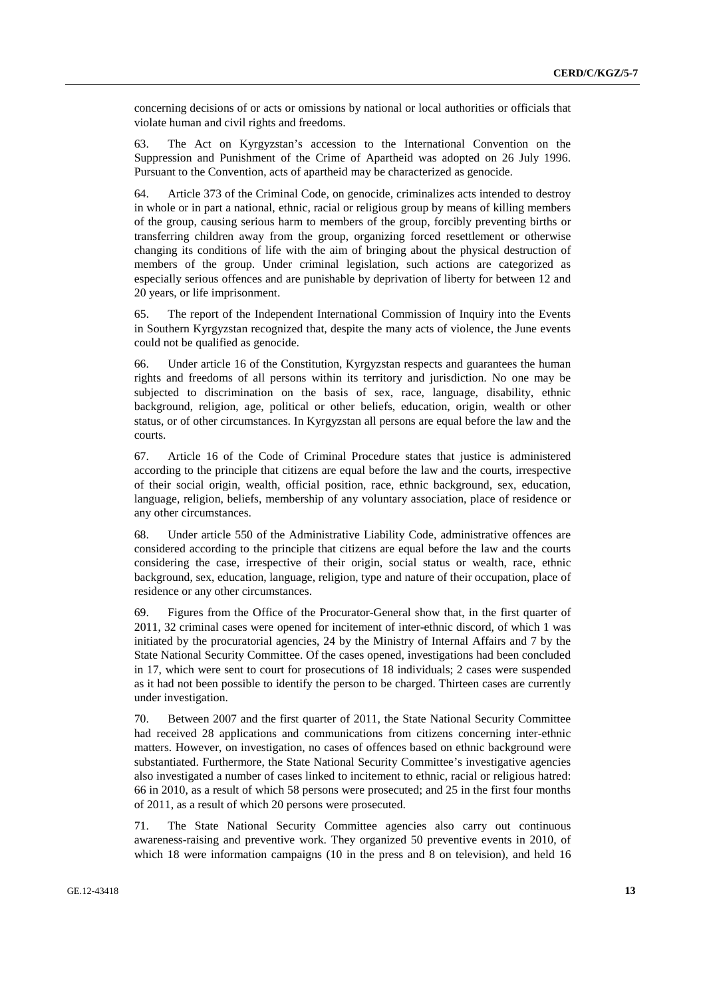concerning decisions of or acts or omissions by national or local authorities or officials that violate human and civil rights and freedoms.

63. The Act on Kyrgyzstan's accession to the International Convention on the Suppression and Punishment of the Crime of Apartheid was adopted on 26 July 1996. Pursuant to the Convention, acts of apartheid may be characterized as genocide.

64. Article 373 of the Criminal Code, on genocide, criminalizes acts intended to destroy in whole or in part a national, ethnic, racial or religious group by means of killing members of the group, causing serious harm to members of the group, forcibly preventing births or transferring children away from the group, organizing forced resettlement or otherwise changing its conditions of life with the aim of bringing about the physical destruction of members of the group. Under criminal legislation, such actions are categorized as especially serious offences and are punishable by deprivation of liberty for between 12 and 20 years, or life imprisonment.

65. The report of the Independent International Commission of Inquiry into the Events in Southern Kyrgyzstan recognized that, despite the many acts of violence, the June events could not be qualified as genocide.

66. Under article 16 of the Constitution, Kyrgyzstan respects and guarantees the human rights and freedoms of all persons within its territory and jurisdiction. No one may be subjected to discrimination on the basis of sex, race, language, disability, ethnic background, religion, age, political or other beliefs, education, origin, wealth or other status, or of other circumstances. In Kyrgyzstan all persons are equal before the law and the courts.

67. Article 16 of the Code of Criminal Procedure states that justice is administered according to the principle that citizens are equal before the law and the courts, irrespective of their social origin, wealth, official position, race, ethnic background, sex, education, language, religion, beliefs, membership of any voluntary association, place of residence or any other circumstances.

68. Under article 550 of the Administrative Liability Code, administrative offences are considered according to the principle that citizens are equal before the law and the courts considering the case, irrespective of their origin, social status or wealth, race, ethnic background, sex, education, language, religion, type and nature of their occupation, place of residence or any other circumstances.

69. Figures from the Office of the Procurator-General show that, in the first quarter of 2011, 32 criminal cases were opened for incitement of inter-ethnic discord, of which 1 was initiated by the procuratorial agencies, 24 by the Ministry of Internal Affairs and 7 by the State National Security Committee. Of the cases opened, investigations had been concluded in 17, which were sent to court for prosecutions of 18 individuals; 2 cases were suspended as it had not been possible to identify the person to be charged. Thirteen cases are currently under investigation.

70. Between 2007 and the first quarter of 2011, the State National Security Committee had received 28 applications and communications from citizens concerning inter-ethnic matters. However, on investigation, no cases of offences based on ethnic background were substantiated. Furthermore, the State National Security Committee's investigative agencies also investigated a number of cases linked to incitement to ethnic, racial or religious hatred: 66 in 2010, as a result of which 58 persons were prosecuted; and 25 in the first four months of 2011, as a result of which 20 persons were prosecuted.

71. The State National Security Committee agencies also carry out continuous awareness-raising and preventive work. They organized 50 preventive events in 2010, of which 18 were information campaigns (10 in the press and 8 on television), and held 16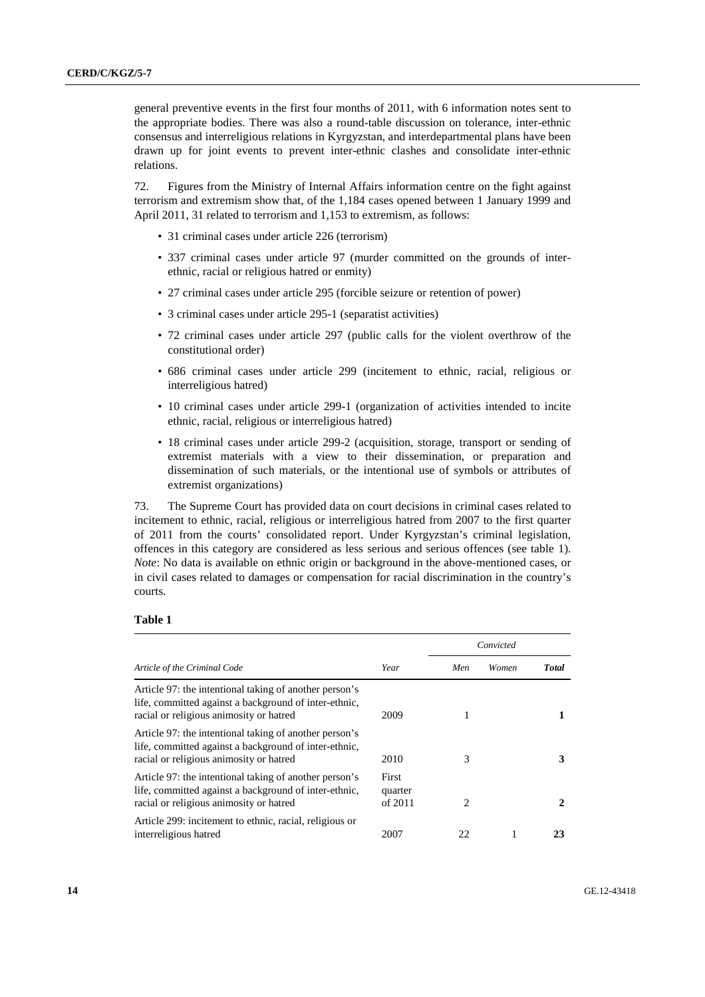general preventive events in the first four months of 2011, with 6 information notes sent to the appropriate bodies. There was also a round-table discussion on tolerance, inter-ethnic consensus and interreligious relations in Kyrgyzstan, and interdepartmental plans have been drawn up for joint events to prevent inter-ethnic clashes and consolidate inter-ethnic relations.

72. Figures from the Ministry of Internal Affairs information centre on the fight against terrorism and extremism show that, of the 1,184 cases opened between 1 January 1999 and April 2011, 31 related to terrorism and 1,153 to extremism, as follows:

- 31 criminal cases under article 226 (terrorism)
- 337 criminal cases under article 97 (murder committed on the grounds of interethnic, racial or religious hatred or enmity)
- 27 criminal cases under article 295 (forcible seizure or retention of power)
- 3 criminal cases under article 295-1 (separatist activities)
- 72 criminal cases under article 297 (public calls for the violent overthrow of the constitutional order)
- 686 criminal cases under article 299 (incitement to ethnic, racial, religious or interreligious hatred)
- 10 criminal cases under article 299-1 (organization of activities intended to incite ethnic, racial, religious or interreligious hatred)
- 18 criminal cases under article 299-2 (acquisition, storage, transport or sending of extremist materials with a view to their dissemination, or preparation and dissemination of such materials, or the intentional use of symbols or attributes of extremist organizations)

73. The Supreme Court has provided data on court decisions in criminal cases related to incitement to ethnic, racial, religious or interreligious hatred from 2007 to the first quarter of 2011 from the courts' consolidated report. Under Kyrgyzstan's criminal legislation, offences in this category are considered as less serious and serious offences (see table 1). *Note*: No data is available on ethnic origin or background in the above-mentioned cases, or in civil cases related to damages or compensation for racial discrimination in the country's courts.

#### **Table 1**

|                                                                                                                                                            |                             | Convicted |       |              |
|------------------------------------------------------------------------------------------------------------------------------------------------------------|-----------------------------|-----------|-------|--------------|
| Article of the Criminal Code                                                                                                                               | Year                        | Men       | Women | <b>Total</b> |
| Article 97: the intentional taking of another person's<br>life, committed against a background of inter-ethnic,<br>racial or religious animosity or hatred | 2009                        |           |       |              |
| Article 97: the intentional taking of another person's<br>life, committed against a background of inter-ethnic,<br>racial or religious animosity or hatred | 2010                        | 3         |       |              |
| Article 97: the intentional taking of another person's<br>life, committed against a background of inter-ethnic,<br>racial or religious animosity or hatred | First<br>quarter<br>of 2011 | 2         |       | 2            |
| Article 299: incitement to ethnic, racial, religious or<br>interreligious hatred                                                                           | 2007                        | 22        |       | 23           |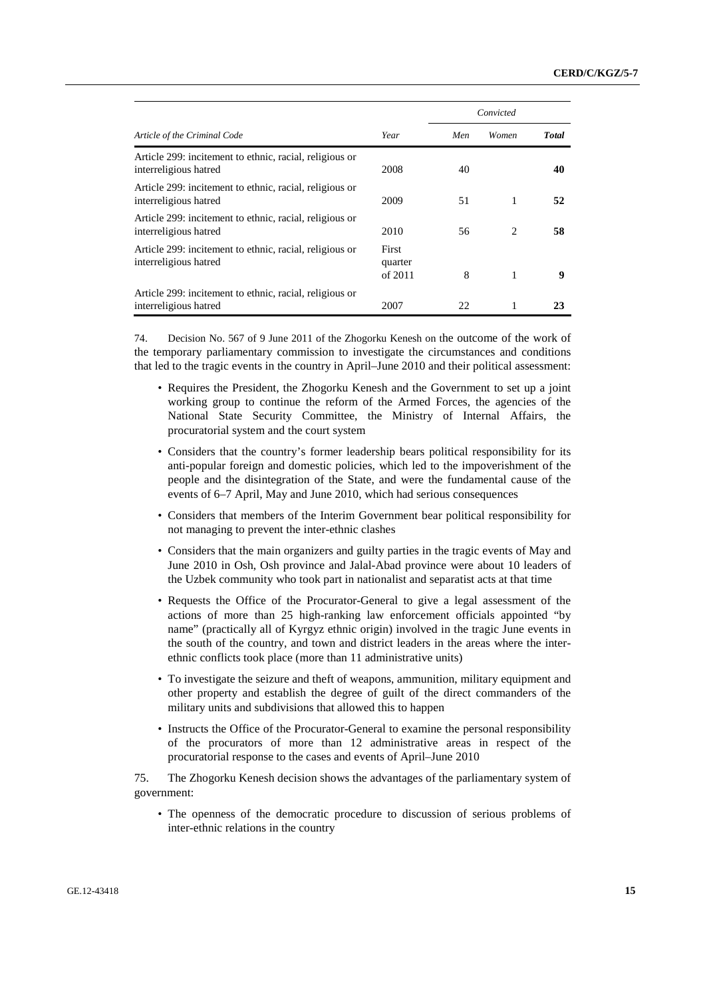|                                                                                  |                             | Convicted |                               |               |
|----------------------------------------------------------------------------------|-----------------------------|-----------|-------------------------------|---------------|
| Article of the Criminal Code                                                     | Year                        | Men       | Women                         | <b>T</b> otal |
| Article 299: incitement to ethnic, racial, religious or<br>interreligious hatred | 2008                        | 40        |                               | 40            |
| Article 299: incitement to ethnic, racial, religious or<br>interreligious hatred | 2009                        | 51        | 1                             | 52            |
| Article 299: incitement to ethnic, racial, religious or<br>interreligious hatred | 2010                        | 56        | $\mathfrak{D}_{\mathfrak{p}}$ | 58            |
| Article 299: incitement to ethnic, racial, religious or<br>interreligious hatred | First<br>quarter<br>of 2011 | 8         | 1                             | 9             |
| Article 299: incitement to ethnic, racial, religious or<br>interreligious hatred | 2007                        | 22.       | 1                             | 23            |

74. Decision No. 567 of 9 June 2011 of the Zhogorku Kenesh on the outcome of the work of the temporary parliamentary commission to investigate the circumstances and conditions that led to the tragic events in the country in April–June 2010 and their political assessment:

- Requires the President, the Zhogorku Kenesh and the Government to set up a joint working group to continue the reform of the Armed Forces, the agencies of the National State Security Committee, the Ministry of Internal Affairs, the procuratorial system and the court system
- Considers that the country's former leadership bears political responsibility for its anti-popular foreign and domestic policies, which led to the impoverishment of the people and the disintegration of the State, and were the fundamental cause of the events of 6–7 April, May and June 2010, which had serious consequences
- Considers that members of the Interim Government bear political responsibility for not managing to prevent the inter-ethnic clashes
- Considers that the main organizers and guilty parties in the tragic events of May and June 2010 in Osh, Osh province and Jalal-Abad province were about 10 leaders of the Uzbek community who took part in nationalist and separatist acts at that time
- Requests the Office of the Procurator-General to give a legal assessment of the actions of more than 25 high-ranking law enforcement officials appointed "by name" (practically all of Kyrgyz ethnic origin) involved in the tragic June events in the south of the country, and town and district leaders in the areas where the interethnic conflicts took place (more than 11 administrative units)
- To investigate the seizure and theft of weapons, ammunition, military equipment and other property and establish the degree of guilt of the direct commanders of the military units and subdivisions that allowed this to happen
- Instructs the Office of the Procurator-General to examine the personal responsibility of the procurators of more than 12 administrative areas in respect of the procuratorial response to the cases and events of April–June 2010

75. The Zhogorku Kenesh decision shows the advantages of the parliamentary system of government:

• The openness of the democratic procedure to discussion of serious problems of inter-ethnic relations in the country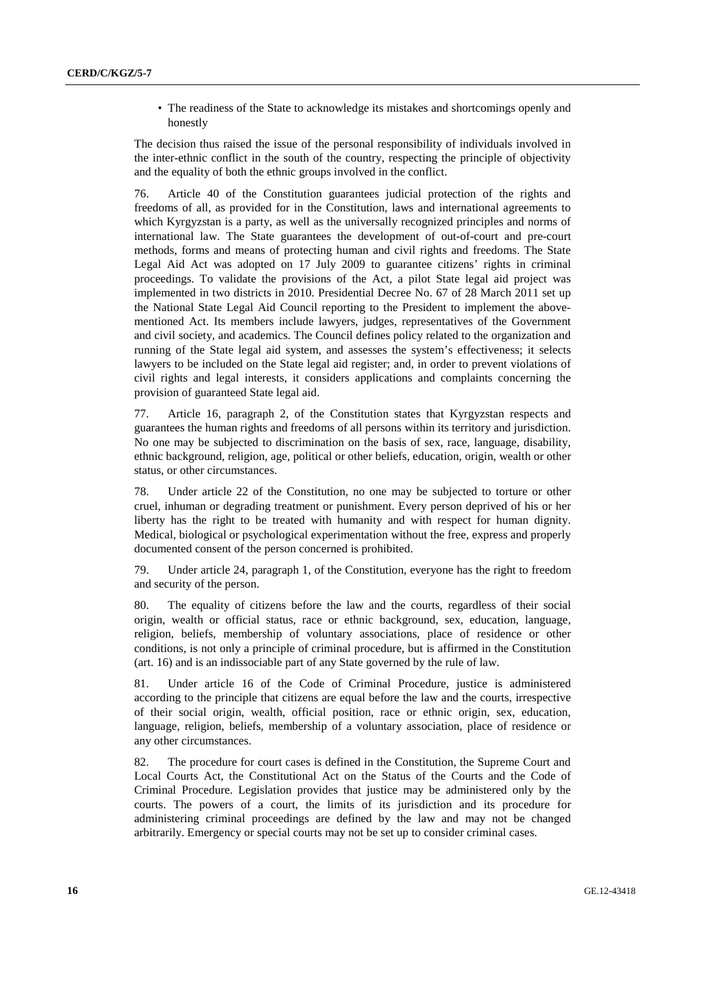• The readiness of the State to acknowledge its mistakes and shortcomings openly and honestly

The decision thus raised the issue of the personal responsibility of individuals involved in the inter-ethnic conflict in the south of the country, respecting the principle of objectivity and the equality of both the ethnic groups involved in the conflict.

76. Article 40 of the Constitution guarantees judicial protection of the rights and freedoms of all, as provided for in the Constitution, laws and international agreements to which Kyrgyzstan is a party, as well as the universally recognized principles and norms of international law. The State guarantees the development of out-of-court and pre-court methods, forms and means of protecting human and civil rights and freedoms. The State Legal Aid Act was adopted on 17 July 2009 to guarantee citizens' rights in criminal proceedings. To validate the provisions of the Act, a pilot State legal aid project was implemented in two districts in 2010. Presidential Decree No. 67 of 28 March 2011 set up the National State Legal Aid Council reporting to the President to implement the abovementioned Act. Its members include lawyers, judges, representatives of the Government and civil society, and academics. The Council defines policy related to the organization and running of the State legal aid system, and assesses the system's effectiveness; it selects lawyers to be included on the State legal aid register; and, in order to prevent violations of civil rights and legal interests, it considers applications and complaints concerning the provision of guaranteed State legal aid.

77. Article 16, paragraph 2, of the Constitution states that Kyrgyzstan respects and guarantees the human rights and freedoms of all persons within its territory and jurisdiction. No one may be subjected to discrimination on the basis of sex, race, language, disability, ethnic background, religion, age, political or other beliefs, education, origin, wealth or other status, or other circumstances.

78. Under article 22 of the Constitution, no one may be subjected to torture or other cruel, inhuman or degrading treatment or punishment. Every person deprived of his or her liberty has the right to be treated with humanity and with respect for human dignity. Medical, biological or psychological experimentation without the free, express and properly documented consent of the person concerned is prohibited.

79. Under article 24, paragraph 1, of the Constitution, everyone has the right to freedom and security of the person.

80. The equality of citizens before the law and the courts, regardless of their social origin, wealth or official status, race or ethnic background, sex, education, language, religion, beliefs, membership of voluntary associations, place of residence or other conditions, is not only a principle of criminal procedure, but is affirmed in the Constitution (art. 16) and is an indissociable part of any State governed by the rule of law.

81. Under article 16 of the Code of Criminal Procedure, justice is administered according to the principle that citizens are equal before the law and the courts, irrespective of their social origin, wealth, official position, race or ethnic origin, sex, education, language, religion, beliefs, membership of a voluntary association, place of residence or any other circumstances.

82. The procedure for court cases is defined in the Constitution, the Supreme Court and Local Courts Act, the Constitutional Act on the Status of the Courts and the Code of Criminal Procedure. Legislation provides that justice may be administered only by the courts. The powers of a court, the limits of its jurisdiction and its procedure for administering criminal proceedings are defined by the law and may not be changed arbitrarily. Emergency or special courts may not be set up to consider criminal cases.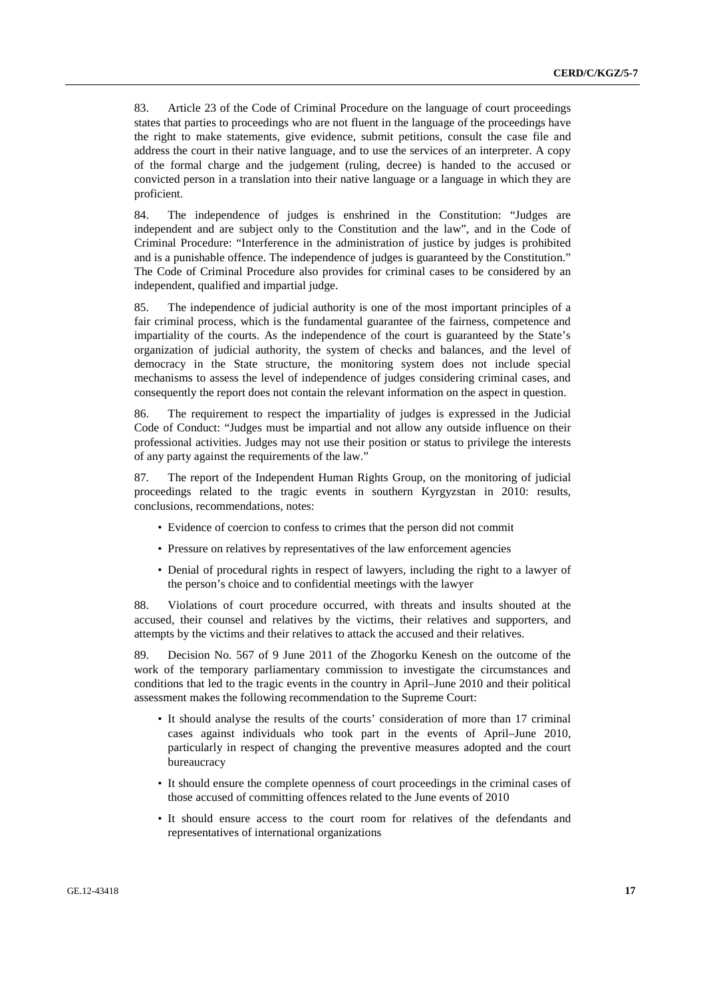83. Article 23 of the Code of Criminal Procedure on the language of court proceedings states that parties to proceedings who are not fluent in the language of the proceedings have the right to make statements, give evidence, submit petitions, consult the case file and address the court in their native language, and to use the services of an interpreter. A copy of the formal charge and the judgement (ruling, decree) is handed to the accused or convicted person in a translation into their native language or a language in which they are proficient.

84. The independence of judges is enshrined in the Constitution: "Judges are independent and are subject only to the Constitution and the law", and in the Code of Criminal Procedure: "Interference in the administration of justice by judges is prohibited and is a punishable offence. The independence of judges is guaranteed by the Constitution." The Code of Criminal Procedure also provides for criminal cases to be considered by an independent, qualified and impartial judge.

85. The independence of judicial authority is one of the most important principles of a fair criminal process, which is the fundamental guarantee of the fairness, competence and impartiality of the courts. As the independence of the court is guaranteed by the State's organization of judicial authority, the system of checks and balances, and the level of democracy in the State structure, the monitoring system does not include special mechanisms to assess the level of independence of judges considering criminal cases, and consequently the report does not contain the relevant information on the aspect in question.

86. The requirement to respect the impartiality of judges is expressed in the Judicial Code of Conduct: "Judges must be impartial and not allow any outside influence on their professional activities. Judges may not use their position or status to privilege the interests of any party against the requirements of the law."

87. The report of the Independent Human Rights Group, on the monitoring of judicial proceedings related to the tragic events in southern Kyrgyzstan in 2010: results, conclusions, recommendations, notes:

- Evidence of coercion to confess to crimes that the person did not commit
- Pressure on relatives by representatives of the law enforcement agencies
- Denial of procedural rights in respect of lawyers, including the right to a lawyer of the person's choice and to confidential meetings with the lawyer

88. Violations of court procedure occurred, with threats and insults shouted at the accused, their counsel and relatives by the victims, their relatives and supporters, and attempts by the victims and their relatives to attack the accused and their relatives.

89. Decision No. 567 of 9 June 2011 of the Zhogorku Kenesh on the outcome of the work of the temporary parliamentary commission to investigate the circumstances and conditions that led to the tragic events in the country in April–June 2010 and their political assessment makes the following recommendation to the Supreme Court:

- It should analyse the results of the courts' consideration of more than 17 criminal cases against individuals who took part in the events of April–June 2010, particularly in respect of changing the preventive measures adopted and the court bureaucracy
- It should ensure the complete openness of court proceedings in the criminal cases of those accused of committing offences related to the June events of 2010
- It should ensure access to the court room for relatives of the defendants and representatives of international organizations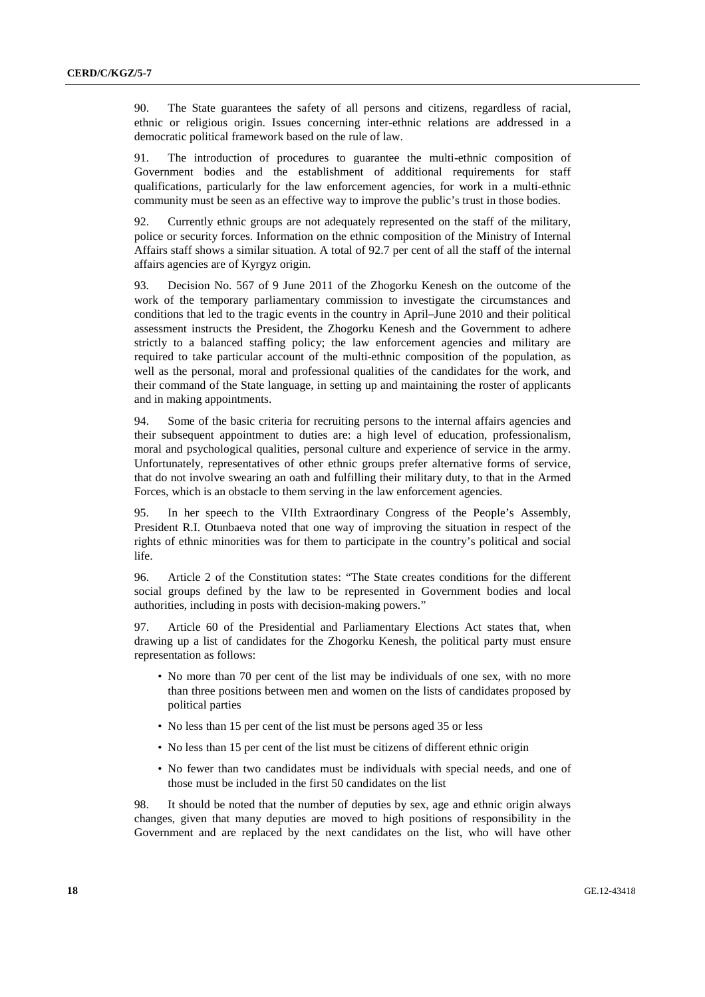90. The State guarantees the safety of all persons and citizens, regardless of racial, ethnic or religious origin. Issues concerning inter-ethnic relations are addressed in a democratic political framework based on the rule of law.

91. The introduction of procedures to guarantee the multi-ethnic composition of Government bodies and the establishment of additional requirements for staff qualifications, particularly for the law enforcement agencies, for work in a multi-ethnic community must be seen as an effective way to improve the public's trust in those bodies.

92. Currently ethnic groups are not adequately represented on the staff of the military, police or security forces. Information on the ethnic composition of the Ministry of Internal Affairs staff shows a similar situation. A total of 92.7 per cent of all the staff of the internal affairs agencies are of Kyrgyz origin.

93. Decision No. 567 of 9 June 2011 of the Zhogorku Kenesh on the outcome of the work of the temporary parliamentary commission to investigate the circumstances and conditions that led to the tragic events in the country in April–June 2010 and their political assessment instructs the President, the Zhogorku Kenesh and the Government to adhere strictly to a balanced staffing policy; the law enforcement agencies and military are required to take particular account of the multi-ethnic composition of the population, as well as the personal, moral and professional qualities of the candidates for the work, and their command of the State language, in setting up and maintaining the roster of applicants and in making appointments.

94. Some of the basic criteria for recruiting persons to the internal affairs agencies and their subsequent appointment to duties are: a high level of education, professionalism, moral and psychological qualities, personal culture and experience of service in the army. Unfortunately, representatives of other ethnic groups prefer alternative forms of service, that do not involve swearing an oath and fulfilling their military duty, to that in the Armed Forces, which is an obstacle to them serving in the law enforcement agencies.

95. In her speech to the VIIth Extraordinary Congress of the People's Assembly, President R.I. Otunbaeva noted that one way of improving the situation in respect of the rights of ethnic minorities was for them to participate in the country's political and social life.

96. Article 2 of the Constitution states: "The State creates conditions for the different social groups defined by the law to be represented in Government bodies and local authorities, including in posts with decision-making powers."

97. Article 60 of the Presidential and Parliamentary Elections Act states that, when drawing up a list of candidates for the Zhogorku Kenesh, the political party must ensure representation as follows:

- No more than 70 per cent of the list may be individuals of one sex, with no more than three positions between men and women on the lists of candidates proposed by political parties
- No less than 15 per cent of the list must be persons aged 35 or less
- No less than 15 per cent of the list must be citizens of different ethnic origin
- No fewer than two candidates must be individuals with special needs, and one of those must be included in the first 50 candidates on the list

98. It should be noted that the number of deputies by sex, age and ethnic origin always changes, given that many deputies are moved to high positions of responsibility in the Government and are replaced by the next candidates on the list, who will have other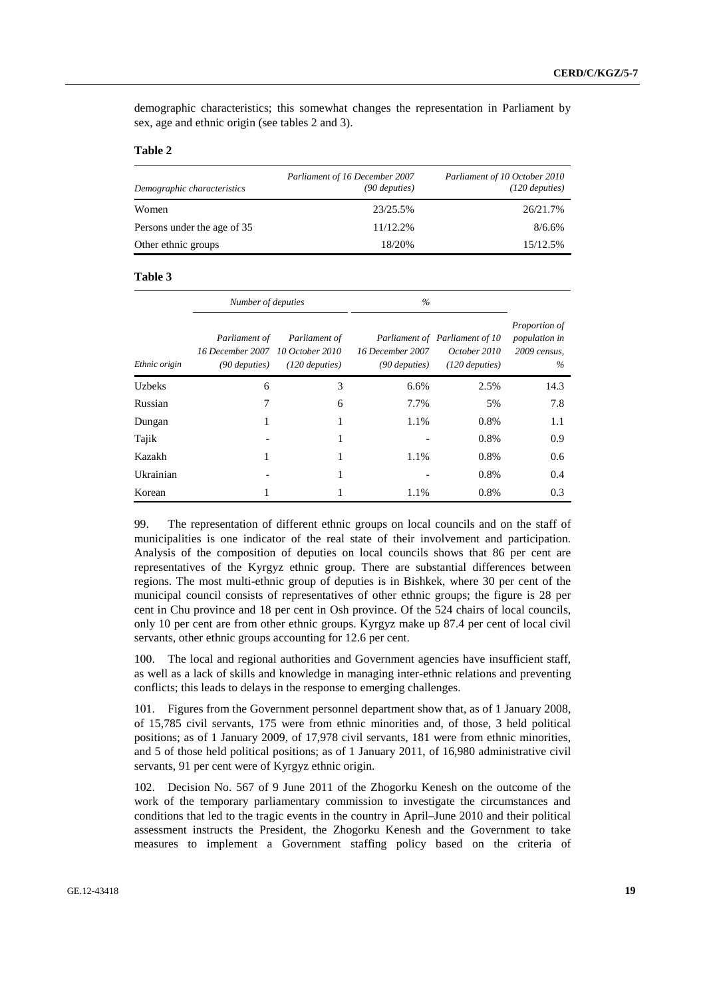demographic characteristics; this somewhat changes the representation in Parliament by sex, age and ethnic origin (see tables 2 and 3).

#### **Table 2**

| Demographic characteristics | Parliament of 16 December 2007<br>(90 deputies) | Parliament of 10 October 2010<br>(120 deputies) |
|-----------------------------|-------------------------------------------------|-------------------------------------------------|
| Women                       | 23/25.5%                                        | 26/21.7%                                        |
| Persons under the age of 35 | 11/12.2%                                        | 8/6.6%                                          |
| Other ethnic groups         | 18/20%                                          | 15/12.5%                                        |

#### **Table 3**

|               | Number of deputies                                   |                                                      | $\%$                                |                                                                    |                                                     |
|---------------|------------------------------------------------------|------------------------------------------------------|-------------------------------------|--------------------------------------------------------------------|-----------------------------------------------------|
| Ethnic origin | Parliament of<br>16 December 2007<br>$(90$ deputies) | Parliament of<br>10 October 2010<br>$(120$ deputies) | 16 December 2007<br>$(90$ deputies) | Parliament of Parliament of 10<br>October 2010<br>$(120$ deputies) | Proportion of<br>population in<br>2009 census,<br>% |
| <b>Uzbeks</b> | 6                                                    | 3                                                    | 6.6%                                | 2.5%                                                               | 14.3                                                |
| Russian       | 7                                                    | 6                                                    | 7.7%                                | 5%                                                                 | 7.8                                                 |
| Dungan        | 1                                                    | 1                                                    | 1.1%                                | 0.8%                                                               | 1.1                                                 |
| Tajik         |                                                      | 1                                                    |                                     | 0.8%                                                               | 0.9                                                 |
| Kazakh        | 1                                                    | 1                                                    | 1.1%                                | 0.8%                                                               | 0.6                                                 |
| Ukrainian     |                                                      | 1                                                    |                                     | 0.8%                                                               | 0.4                                                 |
| Korean        |                                                      |                                                      | 1.1%                                | 0.8%                                                               | 0.3                                                 |

99. The representation of different ethnic groups on local councils and on the staff of municipalities is one indicator of the real state of their involvement and participation. Analysis of the composition of deputies on local councils shows that 86 per cent are representatives of the Kyrgyz ethnic group. There are substantial differences between regions. The most multi-ethnic group of deputies is in Bishkek, where 30 per cent of the municipal council consists of representatives of other ethnic groups; the figure is 28 per cent in Chu province and 18 per cent in Osh province. Of the 524 chairs of local councils, only 10 per cent are from other ethnic groups. Kyrgyz make up 87.4 per cent of local civil servants, other ethnic groups accounting for 12.6 per cent.

100. The local and regional authorities and Government agencies have insufficient staff, as well as a lack of skills and knowledge in managing inter-ethnic relations and preventing conflicts; this leads to delays in the response to emerging challenges.

101. Figures from the Government personnel department show that, as of 1 January 2008, of 15,785 civil servants, 175 were from ethnic minorities and, of those, 3 held political positions; as of 1 January 2009, of 17,978 civil servants, 181 were from ethnic minorities, and 5 of those held political positions; as of 1 January 2011, of 16,980 administrative civil servants, 91 per cent were of Kyrgyz ethnic origin.

102. Decision No. 567 of 9 June 2011 of the Zhogorku Kenesh on the outcome of the work of the temporary parliamentary commission to investigate the circumstances and conditions that led to the tragic events in the country in April–June 2010 and their political assessment instructs the President, the Zhogorku Kenesh and the Government to take measures to implement a Government staffing policy based on the criteria of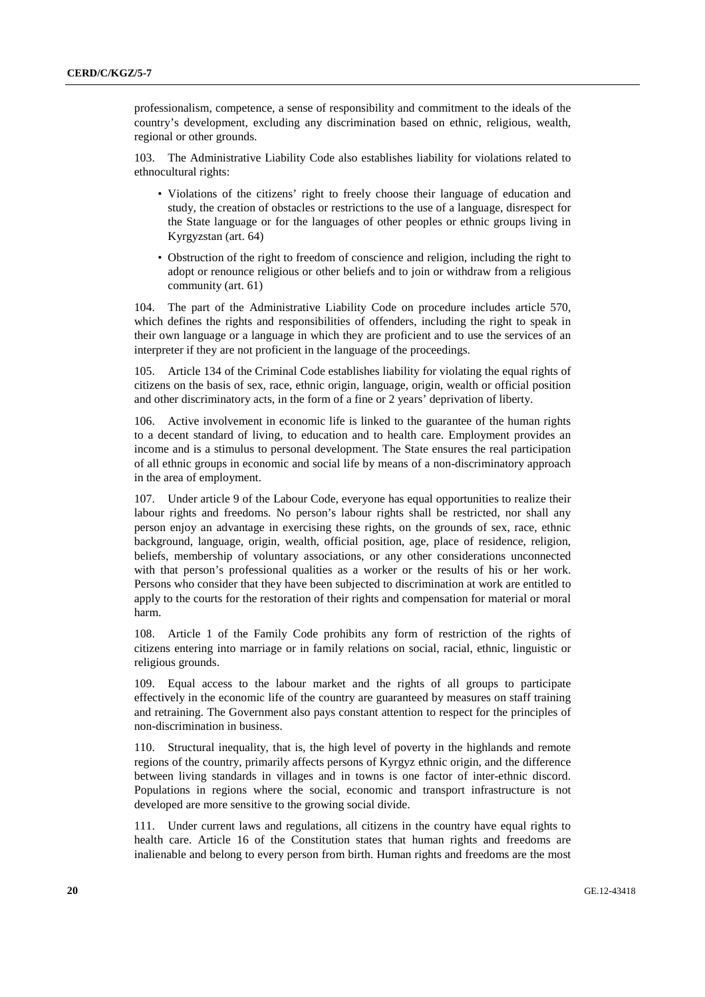professionalism, competence, a sense of responsibility and commitment to the ideals of the country's development, excluding any discrimination based on ethnic, religious, wealth, regional or other grounds.

103. The Administrative Liability Code also establishes liability for violations related to ethnocultural rights:

- Violations of the citizens' right to freely choose their language of education and study, the creation of obstacles or restrictions to the use of a language, disrespect for the State language or for the languages of other peoples or ethnic groups living in Kyrgyzstan (art. 64)
- Obstruction of the right to freedom of conscience and religion, including the right to adopt or renounce religious or other beliefs and to join or withdraw from a religious community (art. 61)

104. The part of the Administrative Liability Code on procedure includes article 570, which defines the rights and responsibilities of offenders, including the right to speak in their own language or a language in which they are proficient and to use the services of an interpreter if they are not proficient in the language of the proceedings.

105. Article 134 of the Criminal Code establishes liability for violating the equal rights of citizens on the basis of sex, race, ethnic origin, language, origin, wealth or official position and other discriminatory acts, in the form of a fine or 2 years' deprivation of liberty.

106. Active involvement in economic life is linked to the guarantee of the human rights to a decent standard of living, to education and to health care. Employment provides an income and is a stimulus to personal development. The State ensures the real participation of all ethnic groups in economic and social life by means of a non-discriminatory approach in the area of employment.

107. Under article 9 of the Labour Code, everyone has equal opportunities to realize their labour rights and freedoms. No person's labour rights shall be restricted, nor shall any person enjoy an advantage in exercising these rights, on the grounds of sex, race, ethnic background, language, origin, wealth, official position, age, place of residence, religion, beliefs, membership of voluntary associations, or any other considerations unconnected with that person's professional qualities as a worker or the results of his or her work. Persons who consider that they have been subjected to discrimination at work are entitled to apply to the courts for the restoration of their rights and compensation for material or moral harm.

108. Article 1 of the Family Code prohibits any form of restriction of the rights of citizens entering into marriage or in family relations on social, racial, ethnic, linguistic or religious grounds.

109. Equal access to the labour market and the rights of all groups to participate effectively in the economic life of the country are guaranteed by measures on staff training and retraining. The Government also pays constant attention to respect for the principles of non-discrimination in business.

110. Structural inequality, that is, the high level of poverty in the highlands and remote regions of the country, primarily affects persons of Kyrgyz ethnic origin, and the difference between living standards in villages and in towns is one factor of inter-ethnic discord. Populations in regions where the social, economic and transport infrastructure is not developed are more sensitive to the growing social divide.

111. Under current laws and regulations, all citizens in the country have equal rights to health care. Article 16 of the Constitution states that human rights and freedoms are inalienable and belong to every person from birth. Human rights and freedoms are the most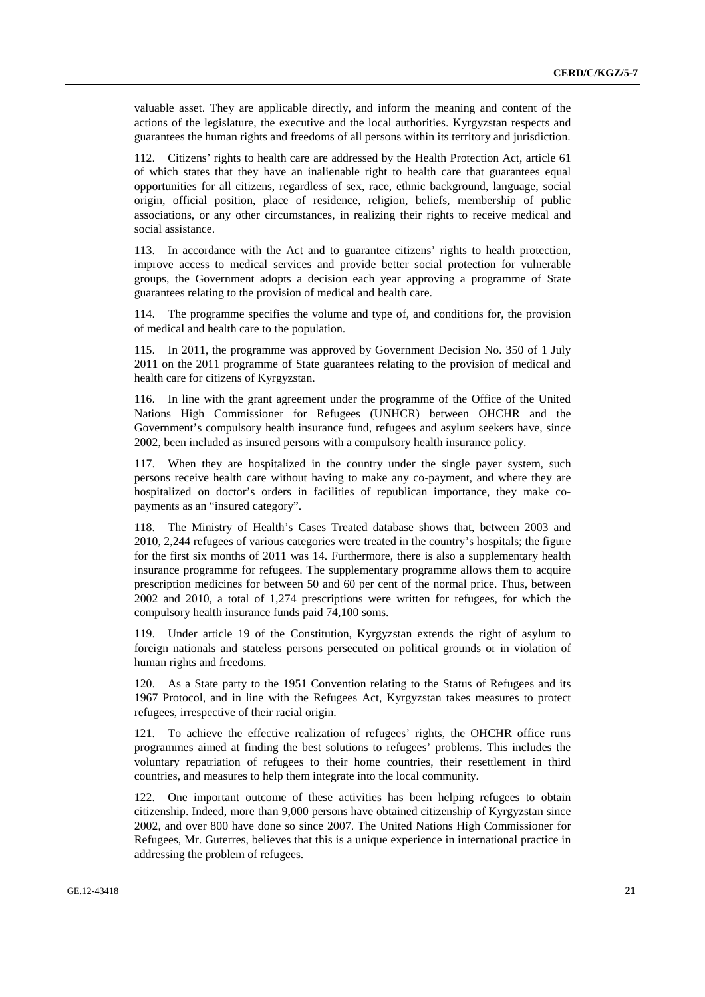valuable asset. They are applicable directly, and inform the meaning and content of the actions of the legislature, the executive and the local authorities. Kyrgyzstan respects and guarantees the human rights and freedoms of all persons within its territory and jurisdiction.

112. Citizens' rights to health care are addressed by the Health Protection Act, article 61 of which states that they have an inalienable right to health care that guarantees equal opportunities for all citizens, regardless of sex, race, ethnic background, language, social origin, official position, place of residence, religion, beliefs, membership of public associations, or any other circumstances, in realizing their rights to receive medical and social assistance.

113. In accordance with the Act and to guarantee citizens' rights to health protection, improve access to medical services and provide better social protection for vulnerable groups, the Government adopts a decision each year approving a programme of State guarantees relating to the provision of medical and health care.

114. The programme specifies the volume and type of, and conditions for, the provision of medical and health care to the population.

115. In 2011, the programme was approved by Government Decision No. 350 of 1 July 2011 on the 2011 programme of State guarantees relating to the provision of medical and health care for citizens of Kyrgyzstan.

116. In line with the grant agreement under the programme of the Office of the United Nations High Commissioner for Refugees (UNHCR) between OHCHR and the Government's compulsory health insurance fund, refugees and asylum seekers have, since 2002, been included as insured persons with a compulsory health insurance policy.

117. When they are hospitalized in the country under the single payer system, such persons receive health care without having to make any co-payment, and where they are hospitalized on doctor's orders in facilities of republican importance, they make copayments as an "insured category".

118. The Ministry of Health's Cases Treated database shows that, between 2003 and 2010, 2,244 refugees of various categories were treated in the country's hospitals; the figure for the first six months of 2011 was 14. Furthermore, there is also a supplementary health insurance programme for refugees. The supplementary programme allows them to acquire prescription medicines for between 50 and 60 per cent of the normal price. Thus, between 2002 and 2010, a total of 1,274 prescriptions were written for refugees, for which the compulsory health insurance funds paid 74,100 soms.

119. Under article 19 of the Constitution, Kyrgyzstan extends the right of asylum to foreign nationals and stateless persons persecuted on political grounds or in violation of human rights and freedoms.

120. As a State party to the 1951 Convention relating to the Status of Refugees and its 1967 Protocol, and in line with the Refugees Act, Kyrgyzstan takes measures to protect refugees, irrespective of their racial origin.

121. To achieve the effective realization of refugees' rights, the OHCHR office runs programmes aimed at finding the best solutions to refugees' problems. This includes the voluntary repatriation of refugees to their home countries, their resettlement in third countries, and measures to help them integrate into the local community.

122. One important outcome of these activities has been helping refugees to obtain citizenship. Indeed, more than 9,000 persons have obtained citizenship of Kyrgyzstan since 2002, and over 800 have done so since 2007. The United Nations High Commissioner for Refugees, Mr. Guterres, believes that this is a unique experience in international practice in addressing the problem of refugees.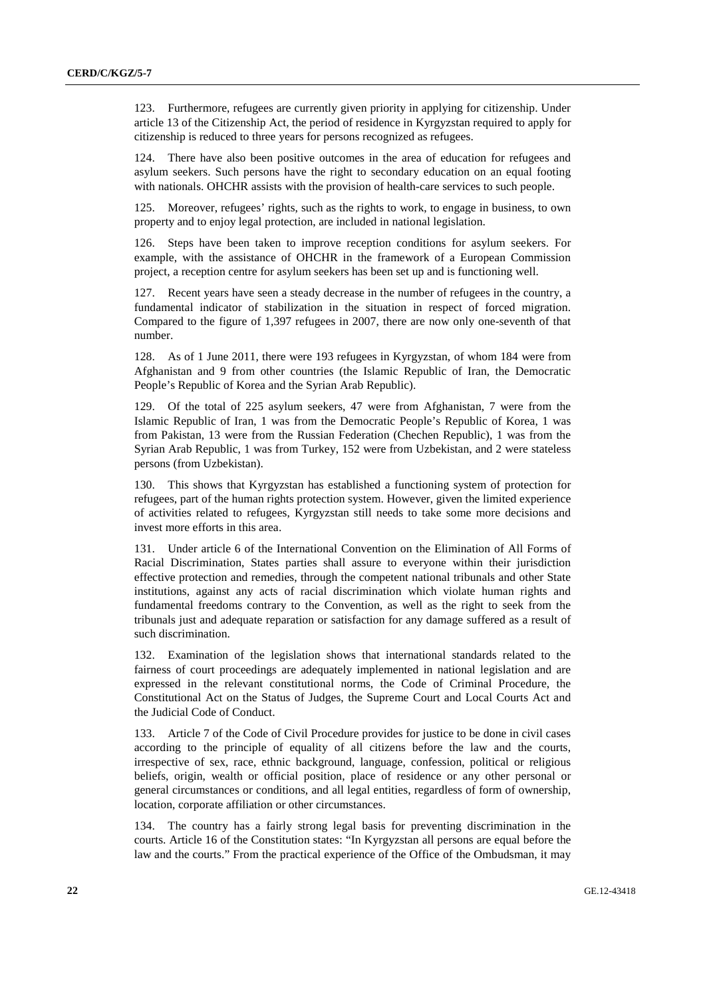123. Furthermore, refugees are currently given priority in applying for citizenship. Under article 13 of the Citizenship Act, the period of residence in Kyrgyzstan required to apply for citizenship is reduced to three years for persons recognized as refugees.

124. There have also been positive outcomes in the area of education for refugees and asylum seekers. Such persons have the right to secondary education on an equal footing with nationals. OHCHR assists with the provision of health-care services to such people.

125. Moreover, refugees' rights, such as the rights to work, to engage in business, to own property and to enjoy legal protection, are included in national legislation.

126. Steps have been taken to improve reception conditions for asylum seekers. For example, with the assistance of OHCHR in the framework of a European Commission project, a reception centre for asylum seekers has been set up and is functioning well.

127. Recent years have seen a steady decrease in the number of refugees in the country, a fundamental indicator of stabilization in the situation in respect of forced migration. Compared to the figure of 1,397 refugees in 2007, there are now only one-seventh of that number.

128. As of 1 June 2011, there were 193 refugees in Kyrgyzstan, of whom 184 were from Afghanistan and 9 from other countries (the Islamic Republic of Iran, the Democratic People's Republic of Korea and the Syrian Arab Republic).

129. Of the total of 225 asylum seekers, 47 were from Afghanistan, 7 were from the Islamic Republic of Iran, 1 was from the Democratic People's Republic of Korea, 1 was from Pakistan, 13 were from the Russian Federation (Chechen Republic), 1 was from the Syrian Arab Republic, 1 was from Turkey, 152 were from Uzbekistan, and 2 were stateless persons (from Uzbekistan).

130. This shows that Kyrgyzstan has established a functioning system of protection for refugees, part of the human rights protection system. However, given the limited experience of activities related to refugees, Kyrgyzstan still needs to take some more decisions and invest more efforts in this area.

131. Under article 6 of the International Convention on the Elimination of All Forms of Racial Discrimination, States parties shall assure to everyone within their jurisdiction effective protection and remedies, through the competent national tribunals and other State institutions, against any acts of racial discrimination which violate human rights and fundamental freedoms contrary to the Convention, as well as the right to seek from the tribunals just and adequate reparation or satisfaction for any damage suffered as a result of such discrimination.

132. Examination of the legislation shows that international standards related to the fairness of court proceedings are adequately implemented in national legislation and are expressed in the relevant constitutional norms, the Code of Criminal Procedure, the Constitutional Act on the Status of Judges, the Supreme Court and Local Courts Act and the Judicial Code of Conduct.

133. Article 7 of the Code of Civil Procedure provides for justice to be done in civil cases according to the principle of equality of all citizens before the law and the courts, irrespective of sex, race, ethnic background, language, confession, political or religious beliefs, origin, wealth or official position, place of residence or any other personal or general circumstances or conditions, and all legal entities, regardless of form of ownership, location, corporate affiliation or other circumstances.

134. The country has a fairly strong legal basis for preventing discrimination in the courts. Article 16 of the Constitution states: "In Kyrgyzstan all persons are equal before the law and the courts." From the practical experience of the Office of the Ombudsman, it may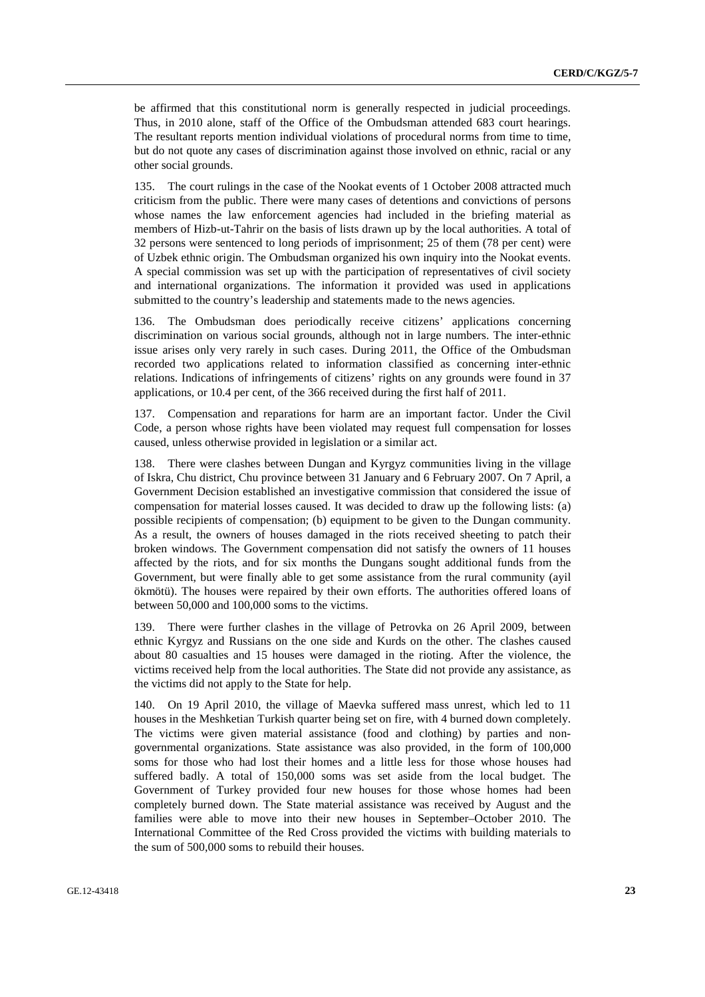be affirmed that this constitutional norm is generally respected in judicial proceedings. Thus, in 2010 alone, staff of the Office of the Ombudsman attended 683 court hearings. The resultant reports mention individual violations of procedural norms from time to time, but do not quote any cases of discrimination against those involved on ethnic, racial or any other social grounds.

135. The court rulings in the case of the Nookat events of 1 October 2008 attracted much criticism from the public. There were many cases of detentions and convictions of persons whose names the law enforcement agencies had included in the briefing material as members of Hizb-ut-Tahrir on the basis of lists drawn up by the local authorities. A total of 32 persons were sentenced to long periods of imprisonment; 25 of them (78 per cent) were of Uzbek ethnic origin. The Ombudsman organized his own inquiry into the Nookat events. A special commission was set up with the participation of representatives of civil society and international organizations. The information it provided was used in applications submitted to the country's leadership and statements made to the news agencies.

136. The Ombudsman does periodically receive citizens' applications concerning discrimination on various social grounds, although not in large numbers. The inter-ethnic issue arises only very rarely in such cases. During 2011, the Office of the Ombudsman recorded two applications related to information classified as concerning inter-ethnic relations. Indications of infringements of citizens' rights on any grounds were found in 37 applications, or 10.4 per cent, of the 366 received during the first half of 2011.

137. Compensation and reparations for harm are an important factor. Under the Civil Code, a person whose rights have been violated may request full compensation for losses caused, unless otherwise provided in legislation or a similar act.

138. There were clashes between Dungan and Kyrgyz communities living in the village of Iskra, Chu district, Chu province between 31 January and 6 February 2007. On 7 April, a Government Decision established an investigative commission that considered the issue of compensation for material losses caused. It was decided to draw up the following lists: (a) possible recipients of compensation; (b) equipment to be given to the Dungan community. As a result, the owners of houses damaged in the riots received sheeting to patch their broken windows. The Government compensation did not satisfy the owners of 11 houses affected by the riots, and for six months the Dungans sought additional funds from the Government, but were finally able to get some assistance from the rural community (ayil ökmötü). The houses were repaired by their own efforts. The authorities offered loans of between 50,000 and 100,000 soms to the victims.

139. There were further clashes in the village of Petrovka on 26 April 2009, between ethnic Kyrgyz and Russians on the one side and Kurds on the other. The clashes caused about 80 casualties and 15 houses were damaged in the rioting. After the violence, the victims received help from the local authorities. The State did not provide any assistance, as the victims did not apply to the State for help.

140. On 19 April 2010, the village of Maevka suffered mass unrest, which led to 11 houses in the Meshketian Turkish quarter being set on fire, with 4 burned down completely. The victims were given material assistance (food and clothing) by parties and nongovernmental organizations. State assistance was also provided, in the form of 100,000 soms for those who had lost their homes and a little less for those whose houses had suffered badly. A total of 150,000 soms was set aside from the local budget. The Government of Turkey provided four new houses for those whose homes had been completely burned down. The State material assistance was received by August and the families were able to move into their new houses in September–October 2010. The International Committee of the Red Cross provided the victims with building materials to the sum of 500,000 soms to rebuild their houses.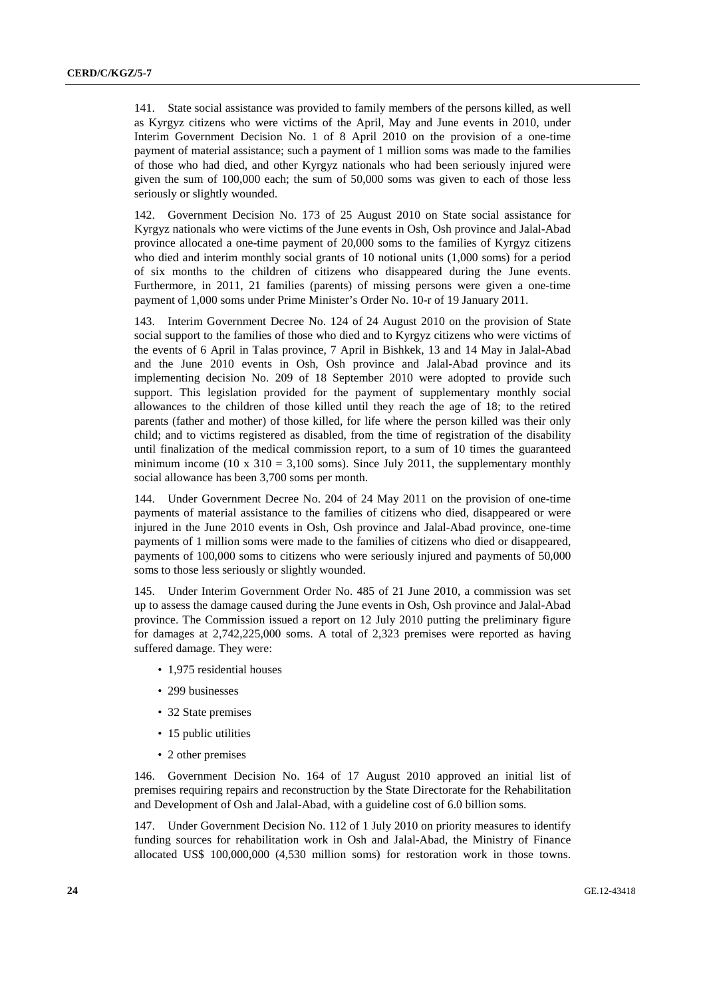141. State social assistance was provided to family members of the persons killed, as well as Kyrgyz citizens who were victims of the April, May and June events in 2010, under Interim Government Decision No. 1 of 8 April 2010 on the provision of a one-time payment of material assistance; such a payment of 1 million soms was made to the families of those who had died, and other Kyrgyz nationals who had been seriously injured were given the sum of 100,000 each; the sum of 50,000 soms was given to each of those less seriously or slightly wounded.

142. Government Decision No. 173 of 25 August 2010 on State social assistance for Kyrgyz nationals who were victims of the June events in Osh, Osh province and Jalal-Abad province allocated a one-time payment of 20,000 soms to the families of Kyrgyz citizens who died and interim monthly social grants of 10 notional units (1,000 soms) for a period of six months to the children of citizens who disappeared during the June events. Furthermore, in 2011, 21 families (parents) of missing persons were given a one-time payment of 1,000 soms under Prime Minister's Order No. 10-r of 19 January 2011.

143. Interim Government Decree No. 124 of 24 August 2010 on the provision of State social support to the families of those who died and to Kyrgyz citizens who were victims of the events of 6 April in Talas province, 7 April in Bishkek, 13 and 14 May in Jalal-Abad and the June 2010 events in Osh, Osh province and Jalal-Abad province and its implementing decision No. 209 of 18 September 2010 were adopted to provide such support. This legislation provided for the payment of supplementary monthly social allowances to the children of those killed until they reach the age of 18; to the retired parents (father and mother) of those killed, for life where the person killed was their only child; and to victims registered as disabled, from the time of registration of the disability until finalization of the medical commission report, to a sum of 10 times the guaranteed minimum income (10 x  $310 = 3,100$  soms). Since July 2011, the supplementary monthly social allowance has been 3,700 soms per month.

144. Under Government Decree No. 204 of 24 May 2011 on the provision of one-time payments of material assistance to the families of citizens who died, disappeared or were injured in the June 2010 events in Osh, Osh province and Jalal-Abad province, one-time payments of 1 million soms were made to the families of citizens who died or disappeared, payments of 100,000 soms to citizens who were seriously injured and payments of 50,000 soms to those less seriously or slightly wounded.

145. Under Interim Government Order No. 485 of 21 June 2010, a commission was set up to assess the damage caused during the June events in Osh, Osh province and Jalal-Abad province. The Commission issued a report on 12 July 2010 putting the preliminary figure for damages at 2,742,225,000 soms. A total of 2,323 premises were reported as having suffered damage. They were:

- 1,975 residential houses
- 299 businesses
- 32 State premises
- 15 public utilities
- 2 other premises

146. Government Decision No. 164 of 17 August 2010 approved an initial list of premises requiring repairs and reconstruction by the State Directorate for the Rehabilitation and Development of Osh and Jalal-Abad, with a guideline cost of 6.0 billion soms.

147. Under Government Decision No. 112 of 1 July 2010 on priority measures to identify funding sources for rehabilitation work in Osh and Jalal-Abad, the Ministry of Finance allocated US\$ 100,000,000 (4,530 million soms) for restoration work in those towns.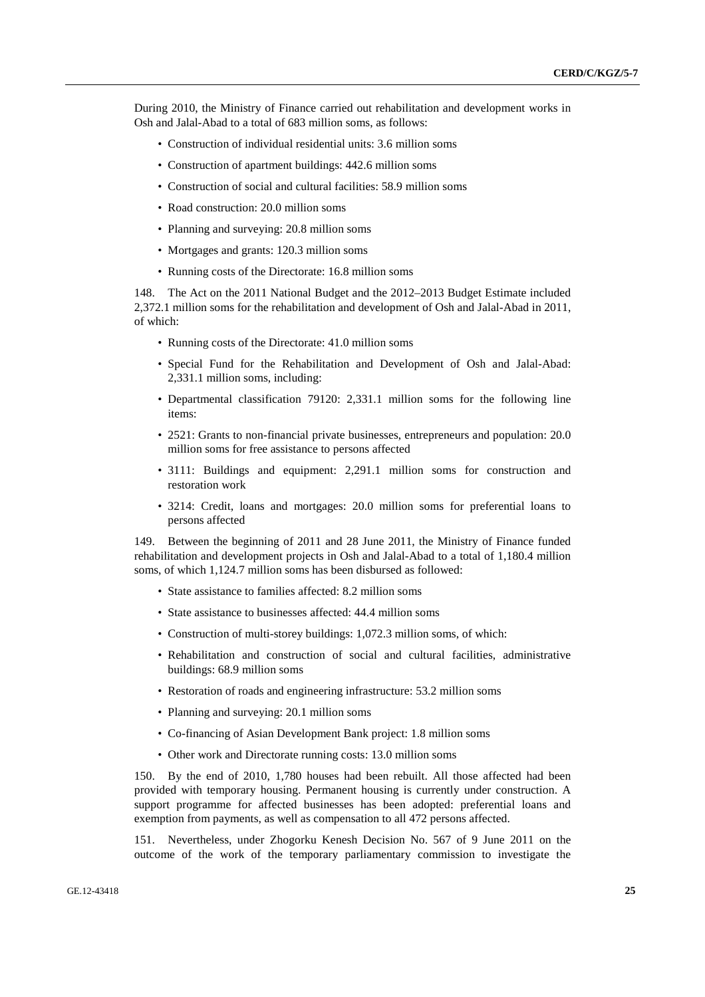During 2010, the Ministry of Finance carried out rehabilitation and development works in Osh and Jalal-Abad to a total of 683 million soms, as follows:

- Construction of individual residential units: 3.6 million soms
- Construction of apartment buildings: 442.6 million soms
- Construction of social and cultural facilities: 58.9 million soms
- Road construction: 20.0 million soms
- Planning and surveying: 20.8 million soms
- Mortgages and grants: 120.3 million soms
- Running costs of the Directorate: 16.8 million soms

148. The Act on the 2011 National Budget and the 2012–2013 Budget Estimate included 2,372.1 million soms for the rehabilitation and development of Osh and Jalal-Abad in 2011, of which:

- Running costs of the Directorate: 41.0 million soms
- Special Fund for the Rehabilitation and Development of Osh and Jalal-Abad: 2,331.1 million soms, including:
- Departmental classification 79120: 2,331.1 million soms for the following line items:
- 2521: Grants to non-financial private businesses, entrepreneurs and population: 20.0 million soms for free assistance to persons affected
- 3111: Buildings and equipment: 2,291.1 million soms for construction and restoration work
- 3214: Credit, loans and mortgages: 20.0 million soms for preferential loans to persons affected

149. Between the beginning of 2011 and 28 June 2011, the Ministry of Finance funded rehabilitation and development projects in Osh and Jalal-Abad to a total of 1,180.4 million soms, of which 1,124.7 million soms has been disbursed as followed:

- State assistance to families affected: 8.2 million soms
- State assistance to businesses affected: 44.4 million soms
- Construction of multi-storey buildings: 1,072.3 million soms, of which:
- Rehabilitation and construction of social and cultural facilities, administrative buildings: 68.9 million soms
- Restoration of roads and engineering infrastructure: 53.2 million soms
- Planning and surveying: 20.1 million soms
- Co-financing of Asian Development Bank project: 1.8 million soms
- Other work and Directorate running costs: 13.0 million soms

150. By the end of 2010, 1,780 houses had been rebuilt. All those affected had been provided with temporary housing. Permanent housing is currently under construction. A support programme for affected businesses has been adopted: preferential loans and exemption from payments, as well as compensation to all 472 persons affected.

151. Nevertheless, under Zhogorku Kenesh Decision No. 567 of 9 June 2011 on the outcome of the work of the temporary parliamentary commission to investigate the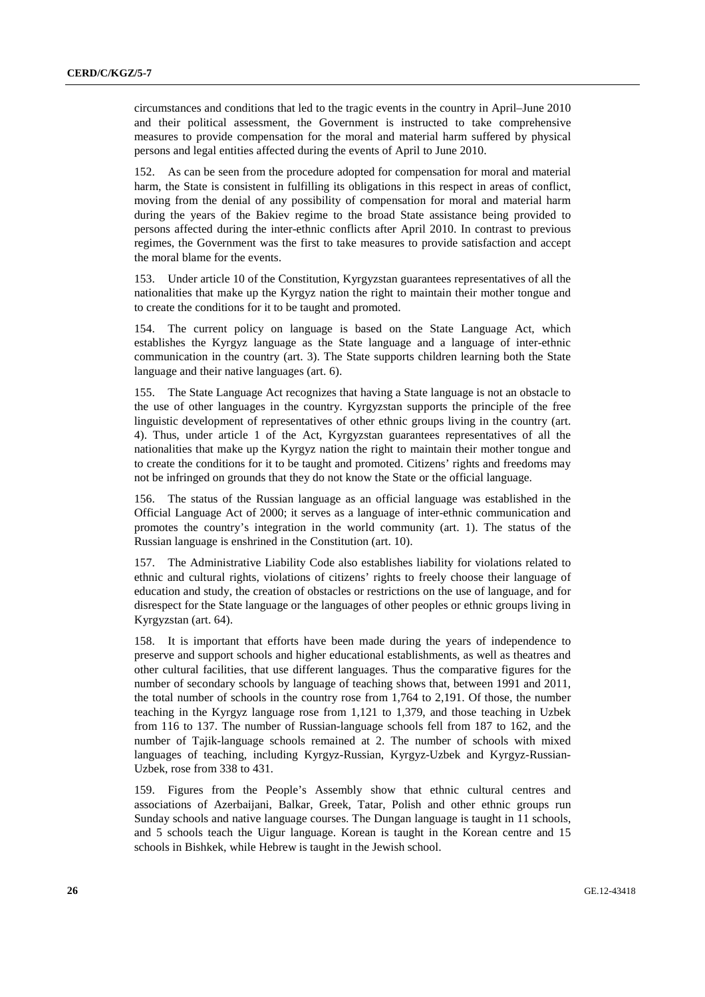circumstances and conditions that led to the tragic events in the country in April–June 2010 and their political assessment, the Government is instructed to take comprehensive measures to provide compensation for the moral and material harm suffered by physical persons and legal entities affected during the events of April to June 2010.

152. As can be seen from the procedure adopted for compensation for moral and material harm, the State is consistent in fulfilling its obligations in this respect in areas of conflict, moving from the denial of any possibility of compensation for moral and material harm during the years of the Bakiev regime to the broad State assistance being provided to persons affected during the inter-ethnic conflicts after April 2010. In contrast to previous regimes, the Government was the first to take measures to provide satisfaction and accept the moral blame for the events.

153. Under article 10 of the Constitution, Kyrgyzstan guarantees representatives of all the nationalities that make up the Kyrgyz nation the right to maintain their mother tongue and to create the conditions for it to be taught and promoted.

154. The current policy on language is based on the State Language Act, which establishes the Kyrgyz language as the State language and a language of inter-ethnic communication in the country (art. 3). The State supports children learning both the State language and their native languages (art. 6).

155. The State Language Act recognizes that having a State language is not an obstacle to the use of other languages in the country. Kyrgyzstan supports the principle of the free linguistic development of representatives of other ethnic groups living in the country (art. 4). Thus, under article 1 of the Act, Kyrgyzstan guarantees representatives of all the nationalities that make up the Kyrgyz nation the right to maintain their mother tongue and to create the conditions for it to be taught and promoted. Citizens' rights and freedoms may not be infringed on grounds that they do not know the State or the official language.

156. The status of the Russian language as an official language was established in the Official Language Act of 2000; it serves as a language of inter-ethnic communication and promotes the country's integration in the world community (art. 1). The status of the Russian language is enshrined in the Constitution (art. 10).

157. The Administrative Liability Code also establishes liability for violations related to ethnic and cultural rights, violations of citizens' rights to freely choose their language of education and study, the creation of obstacles or restrictions on the use of language, and for disrespect for the State language or the languages of other peoples or ethnic groups living in Kyrgyzstan (art. 64).

158. It is important that efforts have been made during the years of independence to preserve and support schools and higher educational establishments, as well as theatres and other cultural facilities, that use different languages. Thus the comparative figures for the number of secondary schools by language of teaching shows that, between 1991 and 2011, the total number of schools in the country rose from 1,764 to 2,191. Of those, the number teaching in the Kyrgyz language rose from 1,121 to 1,379, and those teaching in Uzbek from 116 to 137. The number of Russian-language schools fell from 187 to 162, and the number of Tajik-language schools remained at 2. The number of schools with mixed languages of teaching, including Kyrgyz-Russian, Kyrgyz-Uzbek and Kyrgyz-Russian-Uzbek, rose from 338 to 431.

159. Figures from the People's Assembly show that ethnic cultural centres and associations of Azerbaijani, Balkar, Greek, Tatar, Polish and other ethnic groups run Sunday schools and native language courses. The Dungan language is taught in 11 schools, and 5 schools teach the Uigur language. Korean is taught in the Korean centre and 15 schools in Bishkek, while Hebrew is taught in the Jewish school.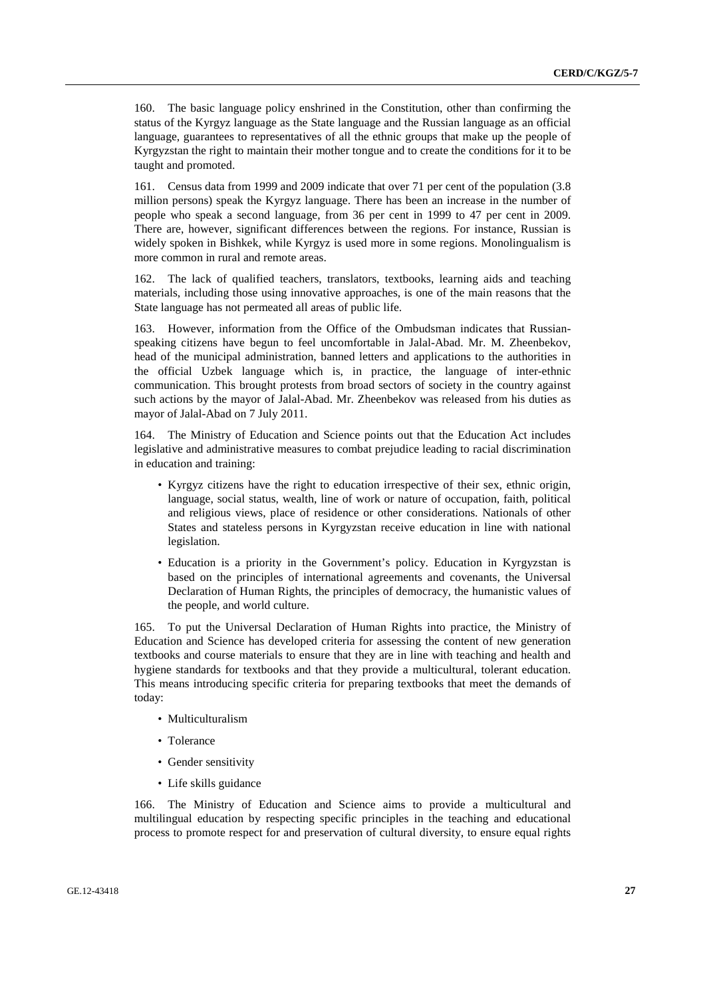160. The basic language policy enshrined in the Constitution, other than confirming the status of the Kyrgyz language as the State language and the Russian language as an official language, guarantees to representatives of all the ethnic groups that make up the people of Kyrgyzstan the right to maintain their mother tongue and to create the conditions for it to be taught and promoted.

161. Census data from 1999 and 2009 indicate that over 71 per cent of the population (3.8 million persons) speak the Kyrgyz language. There has been an increase in the number of people who speak a second language, from 36 per cent in 1999 to 47 per cent in 2009. There are, however, significant differences between the regions. For instance, Russian is widely spoken in Bishkek, while Kyrgyz is used more in some regions. Monolingualism is more common in rural and remote areas.

162. The lack of qualified teachers, translators, textbooks, learning aids and teaching materials, including those using innovative approaches, is one of the main reasons that the State language has not permeated all areas of public life.

163. However, information from the Office of the Ombudsman indicates that Russianspeaking citizens have begun to feel uncomfortable in Jalal-Abad. Mr. M. Zheenbekov, head of the municipal administration, banned letters and applications to the authorities in the official Uzbek language which is, in practice, the language of inter-ethnic communication. This brought protests from broad sectors of society in the country against such actions by the mayor of Jalal-Abad. Mr. Zheenbekov was released from his duties as mayor of Jalal-Abad on 7 July 2011.

164. The Ministry of Education and Science points out that the Education Act includes legislative and administrative measures to combat prejudice leading to racial discrimination in education and training:

- Kyrgyz citizens have the right to education irrespective of their sex, ethnic origin, language, social status, wealth, line of work or nature of occupation, faith, political and religious views, place of residence or other considerations. Nationals of other States and stateless persons in Kyrgyzstan receive education in line with national legislation.
- Education is a priority in the Government's policy. Education in Kyrgyzstan is based on the principles of international agreements and covenants, the Universal Declaration of Human Rights, the principles of democracy, the humanistic values of the people, and world culture.

165. To put the Universal Declaration of Human Rights into practice, the Ministry of Education and Science has developed criteria for assessing the content of new generation textbooks and course materials to ensure that they are in line with teaching and health and hygiene standards for textbooks and that they provide a multicultural, tolerant education. This means introducing specific criteria for preparing textbooks that meet the demands of today:

- Multiculturalism
- Tolerance
- Gender sensitivity
- Life skills guidance

166. The Ministry of Education and Science aims to provide a multicultural and multilingual education by respecting specific principles in the teaching and educational process to promote respect for and preservation of cultural diversity, to ensure equal rights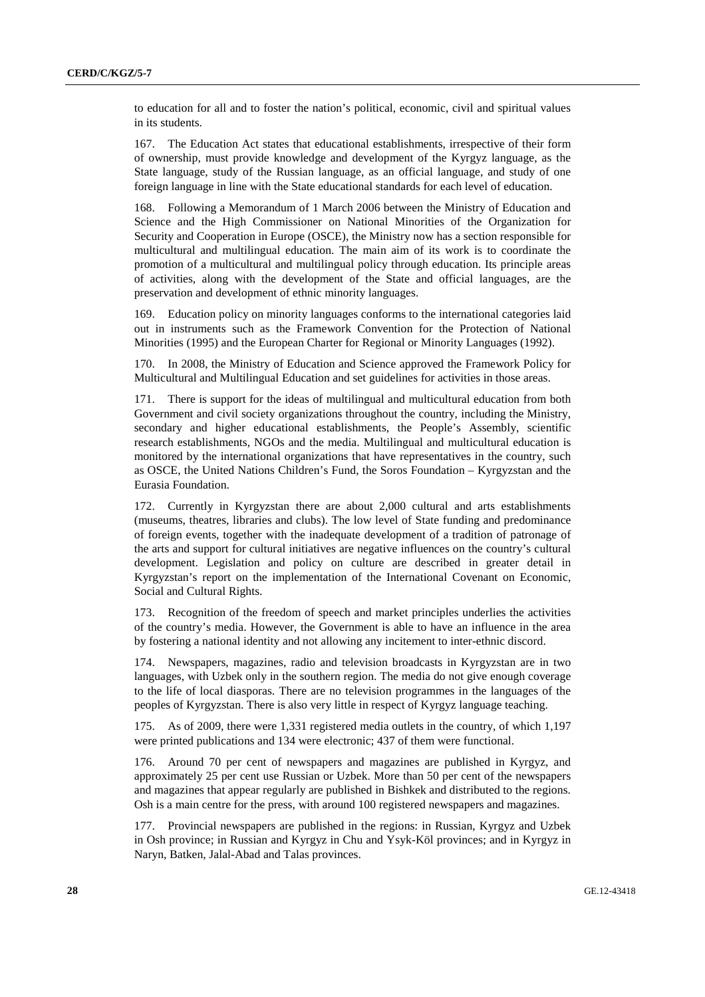to education for all and to foster the nation's political, economic, civil and spiritual values in its students.

167. The Education Act states that educational establishments, irrespective of their form of ownership, must provide knowledge and development of the Kyrgyz language, as the State language, study of the Russian language, as an official language, and study of one foreign language in line with the State educational standards for each level of education.

168. Following a Memorandum of 1 March 2006 between the Ministry of Education and Science and the High Commissioner on National Minorities of the Organization for Security and Cooperation in Europe (OSCE), the Ministry now has a section responsible for multicultural and multilingual education. The main aim of its work is to coordinate the promotion of a multicultural and multilingual policy through education. Its principle areas of activities, along with the development of the State and official languages, are the preservation and development of ethnic minority languages.

169. Education policy on minority languages conforms to the international categories laid out in instruments such as the Framework Convention for the Protection of National Minorities (1995) and the European Charter for Regional or Minority Languages (1992).

170. In 2008, the Ministry of Education and Science approved the Framework Policy for Multicultural and Multilingual Education and set guidelines for activities in those areas.

171. There is support for the ideas of multilingual and multicultural education from both Government and civil society organizations throughout the country, including the Ministry, secondary and higher educational establishments, the People's Assembly, scientific research establishments, NGOs and the media. Multilingual and multicultural education is monitored by the international organizations that have representatives in the country, such as OSCE, the United Nations Children's Fund, the Soros Foundation – Kyrgyzstan and the Eurasia Foundation.

172. Currently in Kyrgyzstan there are about 2,000 cultural and arts establishments (museums, theatres, libraries and clubs). The low level of State funding and predominance of foreign events, together with the inadequate development of a tradition of patronage of the arts and support for cultural initiatives are negative influences on the country's cultural development. Legislation and policy on culture are described in greater detail in Kyrgyzstan's report on the implementation of the International Covenant on Economic, Social and Cultural Rights.

173. Recognition of the freedom of speech and market principles underlies the activities of the country's media. However, the Government is able to have an influence in the area by fostering a national identity and not allowing any incitement to inter-ethnic discord.

174. Newspapers, magazines, radio and television broadcasts in Kyrgyzstan are in two languages, with Uzbek only in the southern region. The media do not give enough coverage to the life of local diasporas. There are no television programmes in the languages of the peoples of Kyrgyzstan. There is also very little in respect of Kyrgyz language teaching.

175. As of 2009, there were 1,331 registered media outlets in the country, of which 1,197 were printed publications and 134 were electronic; 437 of them were functional.

176. Around 70 per cent of newspapers and magazines are published in Kyrgyz, and approximately 25 per cent use Russian or Uzbek. More than 50 per cent of the newspapers and magazines that appear regularly are published in Bishkek and distributed to the regions. Osh is a main centre for the press, with around 100 registered newspapers and magazines.

177. Provincial newspapers are published in the regions: in Russian, Kyrgyz and Uzbek in Osh province; in Russian and Kyrgyz in Chu and Ysyk-Köl provinces; and in Kyrgyz in Naryn, Batken, Jalal-Abad and Talas provinces.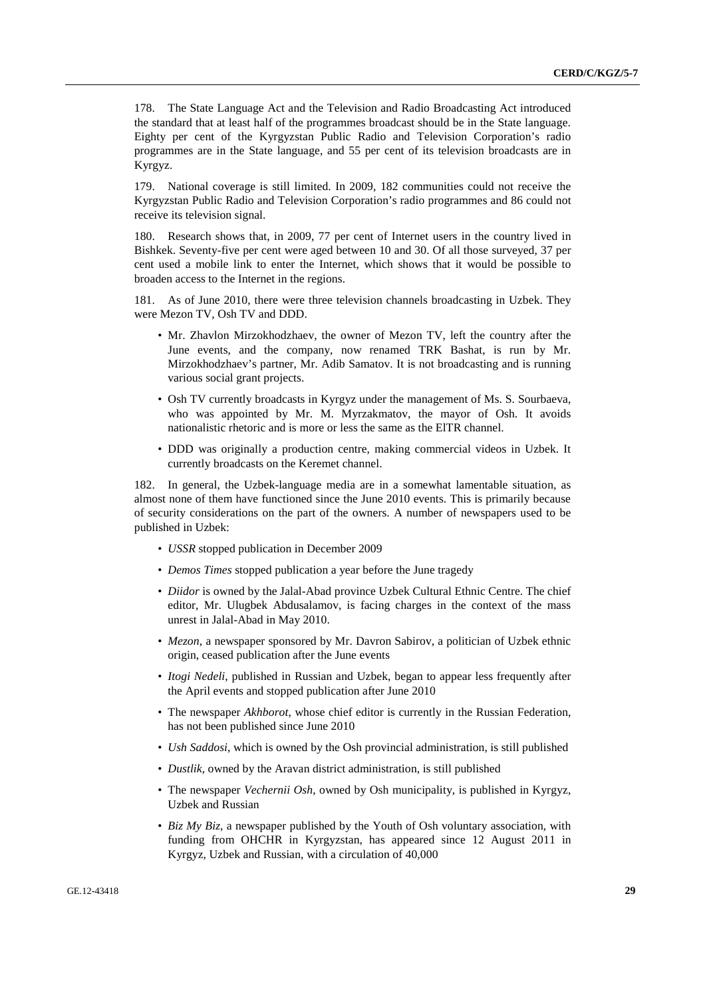178. The State Language Act and the Television and Radio Broadcasting Act introduced the standard that at least half of the programmes broadcast should be in the State language. Eighty per cent of the Kyrgyzstan Public Radio and Television Corporation's radio programmes are in the State language, and 55 per cent of its television broadcasts are in Kyrgyz.

179. National coverage is still limited. In 2009, 182 communities could not receive the Kyrgyzstan Public Radio and Television Corporation's radio programmes and 86 could not receive its television signal.

180. Research shows that, in 2009, 77 per cent of Internet users in the country lived in Bishkek. Seventy-five per cent were aged between 10 and 30. Of all those surveyed, 37 per cent used a mobile link to enter the Internet, which shows that it would be possible to broaden access to the Internet in the regions.

181. As of June 2010, there were three television channels broadcasting in Uzbek. They were Mezon TV, Osh TV and DDD.

- Mr. Zhavlon Mirzokhodzhaev, the owner of Mezon TV, left the country after the June events, and the company, now renamed TRK Bashat, is run by Mr. Mirzokhodzhaev's partner, Mr. Adib Samatov. It is not broadcasting and is running various social grant projects.
- Osh TV currently broadcasts in Kyrgyz under the management of Ms. S. Sourbaeva, who was appointed by Mr. M. Myrzakmatov, the mayor of Osh. It avoids nationalistic rhetoric and is more or less the same as the ElTR channel.
- DDD was originally a production centre, making commercial videos in Uzbek. It currently broadcasts on the Keremet channel.

182. In general, the Uzbek-language media are in a somewhat lamentable situation, as almost none of them have functioned since the June 2010 events. This is primarily because of security considerations on the part of the owners. A number of newspapers used to be published in Uzbek:

- *USSR* stopped publication in December 2009
- *Demos Times* stopped publication a year before the June tragedy
- *Diidor* is owned by the Jalal-Abad province Uzbek Cultural Ethnic Centre. The chief editor, Mr. Ulugbek Abdusalamov, is facing charges in the context of the mass unrest in Jalal-Abad in May 2010.
- *Mezon*, a newspaper sponsored by Mr. Davron Sabirov, a politician of Uzbek ethnic origin, ceased publication after the June events
- *Itogi Nedeli*, published in Russian and Uzbek, began to appear less frequently after the April events and stopped publication after June 2010
- The newspaper *Akhborot*, whose chief editor is currently in the Russian Federation, has not been published since June 2010
- *Ush Saddosi*, which is owned by the Osh provincial administration, is still published
- *Dustlik*, owned by the Aravan district administration, is still published
- The newspaper *Vechernii Osh*, owned by Osh municipality, is published in Kyrgyz, Uzbek and Russian
- *Biz My Biz*, a newspaper published by the Youth of Osh voluntary association, with funding from OHCHR in Kyrgyzstan, has appeared since 12 August 2011 in Kyrgyz, Uzbek and Russian, with a circulation of 40,000